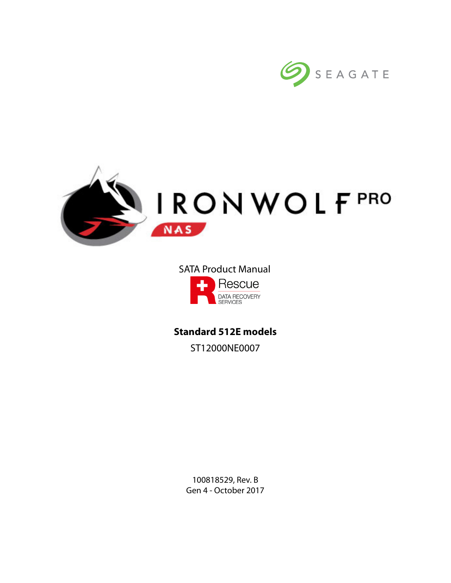



# SATA Product ManualRescue DATA RECOVERY

**Standard 512E models** ST12000NE0007

> 100818529, Rev. B Gen 4 - October 2017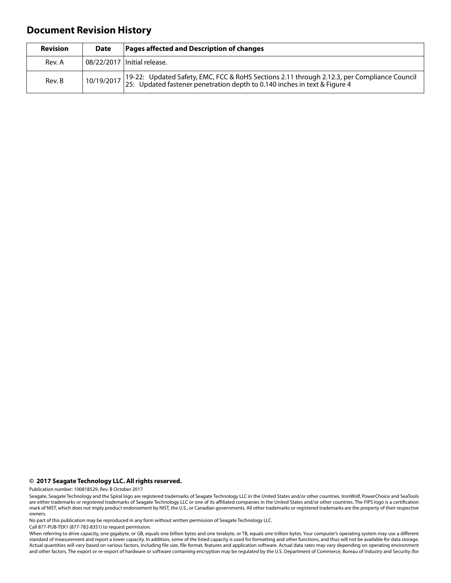# **Document Revision History**

| <b>Revision</b> | <b>Date</b> | Pages affected and Description of changes                                                                                                                                           |
|-----------------|-------------|-------------------------------------------------------------------------------------------------------------------------------------------------------------------------------------|
| Rev. A          |             | 08/22/2017 Initial release.                                                                                                                                                         |
| Rev. B          |             | 10/19/2017 19-22: Updated Safety, EMC, FCC & RoHS Sections 2.11 through 2.12.3, per Compliance Council<br>25: Updated fastener penetration depth to 0.140 inches in text & Figure 4 |

#### **© 2017 Seagate Technology LLC. All rights reserved.**

Publication number: 100818529, Rev. B October 2017

No part of this publication may be reproduced in any form without written permission of Seagate Technology LLC.

Call 877-PUB-TEK1 (877-782-8351) to request permission.

When referring to drive capacity, one gigabyte, or GB, equals one billion bytes and one terabyte, or TB, equals one trillion bytes. Your computer's operating system may use a different standard of measurement and report a lower capacity. In addition, some of the listed capacity is used for formatting and other functions, and thus will not be available for data storage. Actual quantities will vary based on various factors, including file size, file format, features and application software. Actual data rates may vary depending on operating environment and other factors. The export or re-export of hardware or software containing encryption may be regulated by the U.S. Department of Commerce, Bureau of Industry and Security (for

Seagate, Seagate Technology and the Spiral logo are registered trademarks of Seagate Technology LLC in the United States and/or other countries. IronWolf, PowerChoice and SeaTools are either trademarks or registered trademarks of Seagate Technology LLC or one of its affiliated companies in the United States and/or other countries. The FIPS logo is a certification<br>mark of NIST, which does not imply p owners.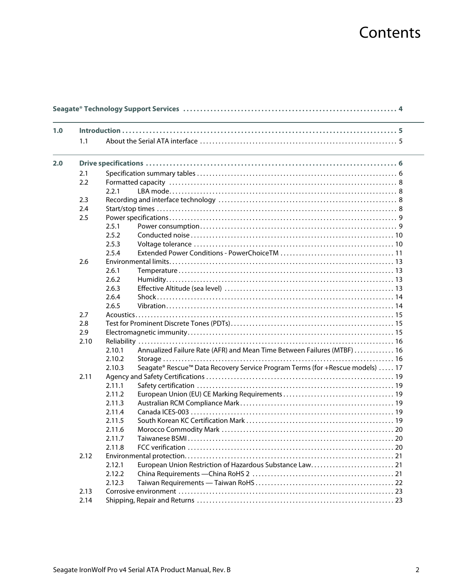# **Contents**

| 1.0 |      |        |                                                                               |
|-----|------|--------|-------------------------------------------------------------------------------|
|     | 1.1  |        |                                                                               |
|     |      |        |                                                                               |
| 2.0 |      |        |                                                                               |
|     | 2.1  |        |                                                                               |
|     | 2.2  |        |                                                                               |
|     |      | 2.2.1  |                                                                               |
|     | 2.3  |        |                                                                               |
|     | 2.4  |        |                                                                               |
|     | 2.5  |        |                                                                               |
|     |      | 2.5.1  |                                                                               |
|     |      | 2.5.2  |                                                                               |
|     |      | 2.5.3  |                                                                               |
|     |      | 2.5.4  |                                                                               |
|     | 2.6  |        |                                                                               |
|     |      | 2.6.1  |                                                                               |
|     |      | 2.6.2  |                                                                               |
|     |      | 2.6.3  |                                                                               |
|     |      | 2.6.4  |                                                                               |
|     |      | 2.6.5  |                                                                               |
|     | 2.7  |        |                                                                               |
|     | 2.8  |        |                                                                               |
|     | 2.9  |        |                                                                               |
|     | 2.10 |        |                                                                               |
|     |      | 2.10.1 | Annualized Failure Rate (AFR) and Mean Time Between Failures (MTBF)  16       |
|     |      | 2.10.2 |                                                                               |
|     |      | 2.10.3 | Seagate® Rescue™ Data Recovery Service Program Terms (for +Rescue models)  17 |
|     | 2.11 |        |                                                                               |
|     |      | 2.11.1 |                                                                               |
|     |      | 2.11.2 |                                                                               |
|     |      | 2.11.3 |                                                                               |
|     |      | 2.11.4 |                                                                               |
|     |      | 2.11.5 |                                                                               |
|     |      | 2.11.6 |                                                                               |
|     |      | 2.11.7 |                                                                               |
|     |      | 2.11.8 |                                                                               |
|     | 2.12 |        |                                                                               |
|     |      | 2.12.1 |                                                                               |
|     |      | 2.12.2 |                                                                               |
|     |      | 2.12.3 |                                                                               |
|     | 2.13 |        |                                                                               |
|     | 2.14 |        |                                                                               |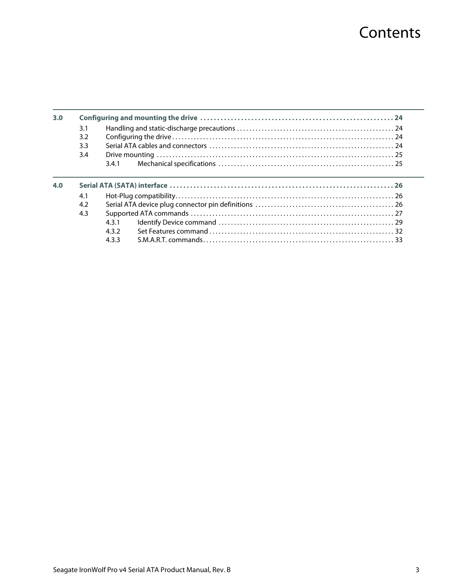# **Contents**

| 3.0 |     |     |  |
|-----|-----|-----|--|
|     | 3.1 |     |  |
|     | 3.2 |     |  |
|     | 3.3 |     |  |
|     | 3.4 |     |  |
|     |     | 341 |  |
|     |     |     |  |
| 4.0 |     |     |  |
|     | 4.1 |     |  |
|     | 4.2 |     |  |
|     | 4.3 |     |  |
|     |     | 431 |  |
|     |     | 432 |  |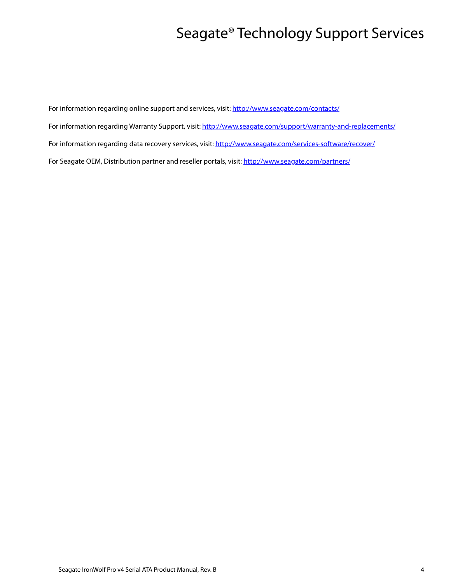# Seagate® Technology Support Services

<span id="page-4-0"></span>For information regarding online support and services, visit: [http://www.sea](http://www.seagate.com/contacts/)gate.com/contacts/ [For information regarding Warranty Support, visit: h](http://www.seagate.com/support/warranty-and-replacements/)ttp://www.seagate.com/support/warranty-and-replacements/ For information regarding data recovery services, visit: [http://www.seagate.com/services-software/recover/](http://www.seagate.com/services-software/data-recovery-services/) [For Seagate OEM, Distribution partner and reseller portals, visit: h](http://www.seagate.com/partners/)ttp://www.seagate.com/partners/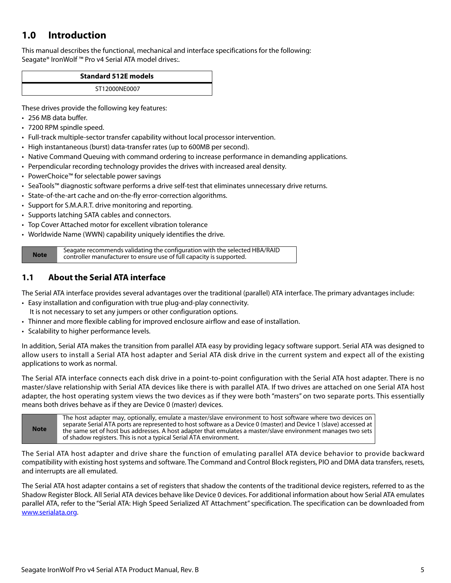# <span id="page-5-0"></span>**1.0 Introduction**

This manual describes the functional, mechanical and interface specifications for the following: Seagate® IronWolf ™ Pro v4 Serial ATA model drives:.

| <b>Standard 512E models</b> |  |
|-----------------------------|--|
| ST12000NE0007               |  |

These drives provide the following key features:

- 256 MB data buffer.
- 7200 RPM spindle speed.
- Full-track multiple-sector transfer capability without local processor intervention.
- High instantaneous (burst) data-transfer rates (up to 600MB per second).
- Native Command Queuing with command ordering to increase performance in demanding applications.
- Perpendicular recording technology provides the drives with increased areal density.
- PowerChoice™ for selectable power savings
- SeaTools™ diagnostic software performs a drive self-test that eliminates unnecessary drive returns.
- State-of-the-art cache and on-the-fly error-correction algorithms.
- Support for S.M.A.R.T. drive monitoring and reporting.
- Supports latching SATA cables and connectors.
- Top Cover Attached motor for excellent vibration tolerance
- Worldwide Name (WWN) capability uniquely identifies the drive.

Seagate recommends validating the configuration with the selected HBA/RAID<br>controller manufacturer to ensure use of full capacity is supported controller manufacturer to ensure use of full capacity is supported.

# <span id="page-5-1"></span>**1.1 About the Serial ATA interface**

The Serial ATA interface provides several advantages over the traditional (parallel) ATA interface. The primary advantages include:

- Easy installation and configuration with true plug-and-play connectivity. It is not necessary to set any jumpers or other configuration options.
- Thinner and more flexible cabling for improved enclosure airflow and ease of installation.
- Scalability to higher performance levels.

In addition, Serial ATA makes the transition from parallel ATA easy by providing legacy software support. Serial ATA was designed to allow users to install a Serial ATA host adapter and Serial ATA disk drive in the current system and expect all of the existing applications to work as normal.

The Serial ATA interface connects each disk drive in a point-to-point configuration with the Serial ATA host adapter. There is no master/slave relationship with Serial ATA devices like there is with parallel ATA. If two drives are attached on one Serial ATA host adapter, the host operating system views the two devices as if they were both "masters" on two separate ports. This essentially means both drives behave as if they are Device 0 (master) devices.

**Note** The host adapter may, optionally, emulate a master/slave environment to host software where two devices on separate Serial ATA ports are represented to host software as a Device 0 (master) and Device 1 (slave) accessed at the same set of host bus addresses. A host adapter that emulates a master/slave environment manages two sets of shadow registers. This is not a typical Serial ATA environment.

The Serial ATA host adapter and drive share the function of emulating parallel ATA device behavior to provide backward compatibility with existing host systems and software. The Command and Control Block registers, PIO and DMA data transfers, resets, and interrupts are all emulated.

The Serial ATA host adapter contains a set of registers that shadow the contents of the traditional device registers, referred to as the Shadow Register Block. All Serial ATA devices behave like Device 0 devices. For additional information about how Serial ATA emulates parallel ATA, refer to the "Serial ATA: High Speed Serialized AT Attachment" specification. The specification can be downloaded from [www.serialata.or](http://www.serialata.org)g.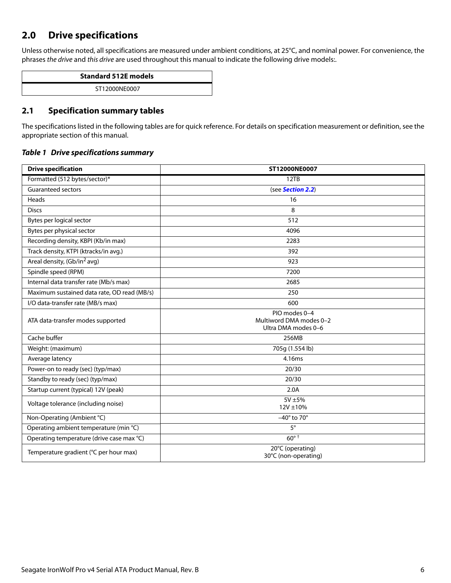# <span id="page-6-0"></span>**2.0 Drive specifications**

Unless otherwise noted, all specifications are measured under ambient conditions, at 25°C, and nominal power. For convenience, the phrases the drive and this drive are used throughout this manual to indicate the following drive models:.

| <b>Standard 512E models</b> |  |
|-----------------------------|--|
| ST12000NE0007               |  |
|                             |  |

# <span id="page-6-1"></span>**2.1 Specification summary tables**

The specifications listed in the following tables are for quick reference. For details on specification measurement or definition, see the appropriate section of this manual.

### *Table 1 Drive specifications summary*

| <b>Drive specification</b>                  | ST12000NE0007                                                   |
|---------------------------------------------|-----------------------------------------------------------------|
| Formatted (512 bytes/sector)*               | 12TB                                                            |
| Guaranteed sectors                          | (see Section 2.2)                                               |
| Heads                                       | 16                                                              |
| <b>Discs</b>                                | 8                                                               |
| Bytes per logical sector                    | 512                                                             |
| Bytes per physical sector                   | 4096                                                            |
| Recording density, KBPI (Kb/in max)         | 2283                                                            |
| Track density, KTPI (ktracks/in avg.)       | 392                                                             |
| Areal density, (Gb/in <sup>2</sup> avg)     | 923                                                             |
| Spindle speed (RPM)                         | 7200                                                            |
| Internal data transfer rate (Mb/s max)      | 2685                                                            |
| Maximum sustained data rate, OD read (MB/s) | 250                                                             |
| I/O data-transfer rate (MB/s max)           | 600                                                             |
| ATA data-transfer modes supported           | PIO modes 0-4<br>Multiword DMA modes 0-2<br>Ultra DMA modes 0-6 |
| Cache buffer                                | 256MB                                                           |
| Weight: (maximum)                           | 705g (1.554 lb)                                                 |
| Average latency                             | 4.16ms                                                          |
| Power-on to ready (sec) (typ/max)           | 20/30                                                           |
| Standby to ready (sec) (typ/max)            | 20/30                                                           |
| Startup current (typical) 12V (peak)        | 2.0A                                                            |
| Voltage tolerance (including noise)         | 5V ±5%<br>12V ±10%                                              |
| Non-Operating (Ambient °C)                  | $-40^\circ$ to 70°                                              |
| Operating ambient temperature (min °C)      | $5^{\circ}$                                                     |
| Operating temperature (drive case max °C)   | $60^{\circ}$ +                                                  |
| Temperature gradient (°C per hour max)      | 20°C (operating)<br>30°C (non-operating)                        |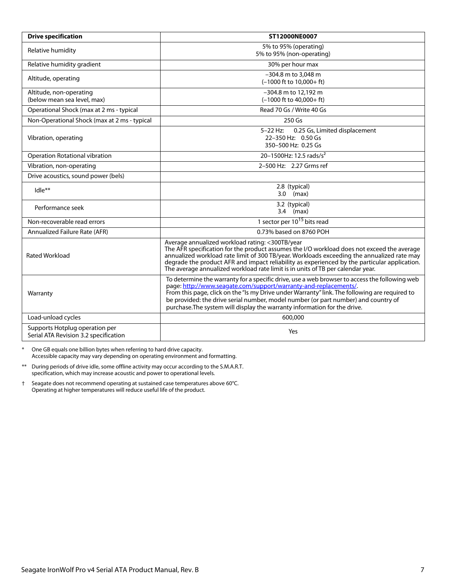| <b>Drive specification</b>                                              | ST12000NE0007                                                                                                                                                                                                                                                                                                                                                                                                                         |  |  |
|-------------------------------------------------------------------------|---------------------------------------------------------------------------------------------------------------------------------------------------------------------------------------------------------------------------------------------------------------------------------------------------------------------------------------------------------------------------------------------------------------------------------------|--|--|
| Relative humidity                                                       | 5% to 95% (operating)<br>5% to 95% (non-operating)                                                                                                                                                                                                                                                                                                                                                                                    |  |  |
| Relative humidity gradient                                              | 30% per hour max                                                                                                                                                                                                                                                                                                                                                                                                                      |  |  |
| Altitude, operating                                                     | -304.8 m to 3,048 m<br>$(-1000$ ft to $10.000 + ft$ )                                                                                                                                                                                                                                                                                                                                                                                 |  |  |
| Altitude, non-operating<br>(below mean sea level, max)                  | -304.8 m to 12.192 m<br>$(-1000$ ft to $40,000+$ ft)                                                                                                                                                                                                                                                                                                                                                                                  |  |  |
| Operational Shock (max at 2 ms - typical                                | Read 70 Gs / Write 40 Gs                                                                                                                                                                                                                                                                                                                                                                                                              |  |  |
| Non-Operational Shock (max at 2 ms - typical                            | 250 Gs                                                                                                                                                                                                                                                                                                                                                                                                                                |  |  |
| Vibration, operating                                                    | $5 - 22$ Hz:<br>0.25 Gs, Limited displacement<br>22-350 Hz: 0.50 Gs<br>350-500 Hz: 0.25 Gs                                                                                                                                                                                                                                                                                                                                            |  |  |
| Operation Rotational vibration                                          | 20-1500Hz: 12.5 rads/s <sup>2</sup>                                                                                                                                                                                                                                                                                                                                                                                                   |  |  |
| Vibration, non-operating                                                | 2-500 Hz: 2.27 Grms ref                                                                                                                                                                                                                                                                                                                                                                                                               |  |  |
| Drive acoustics, sound power (bels)                                     |                                                                                                                                                                                                                                                                                                                                                                                                                                       |  |  |
| Idle**                                                                  | 2.8 (typical)<br>$3.0$ (max)                                                                                                                                                                                                                                                                                                                                                                                                          |  |  |
| Performance seek                                                        | 3.2 (typical)<br>$3.4$ (max)                                                                                                                                                                                                                                                                                                                                                                                                          |  |  |
| Non-recoverable read errors                                             | 1 sector per 10 <sup>15</sup> bits read                                                                                                                                                                                                                                                                                                                                                                                               |  |  |
| Annualized Failure Rate (AFR)                                           | 0.73% based on 8760 POH                                                                                                                                                                                                                                                                                                                                                                                                               |  |  |
| Rated Workload                                                          | Average annualized workload rating: <300TB/year<br>The AFR specification for the product assumes the I/O workload does not exceed the average<br>annualized workload rate limit of 300 TB/year. Workloads exceeding the annualized rate may<br>degrade the product AFR and impact reliability as experienced by the particular application.<br>The average annualized workload rate limit is in units of TB per calendar year.        |  |  |
| Warranty                                                                | To determine the warranty for a specific drive, use a web browser to access the following web<br>page: http://www.seagate.com/support/warranty-and-replacements/.<br>From this page, click on the "Is my Drive under Warranty" link. The following are required to<br>be provided: the drive serial number, model number (or part number) and country of<br>purchase. The system will display the warranty information for the drive. |  |  |
| Load-unload cycles                                                      | 600.000                                                                                                                                                                                                                                                                                                                                                                                                                               |  |  |
| Supports Hotplug operation per<br>Serial ATA Revision 3.2 specification | Yes                                                                                                                                                                                                                                                                                                                                                                                                                                   |  |  |

\* One GB equals one billion bytes when referring to hard drive capacity. Accessible capacity may vary depending on operating environment and formatting.

\*\* During periods of drive idle, some offline activity may occur according to the S.M.A.R.T. specification, which may increase acoustic and power to operational levels.

† Seagate does not recommend operating at sustained case temperatures above 60°C. Operating at higher temperatures will reduce useful life of the product.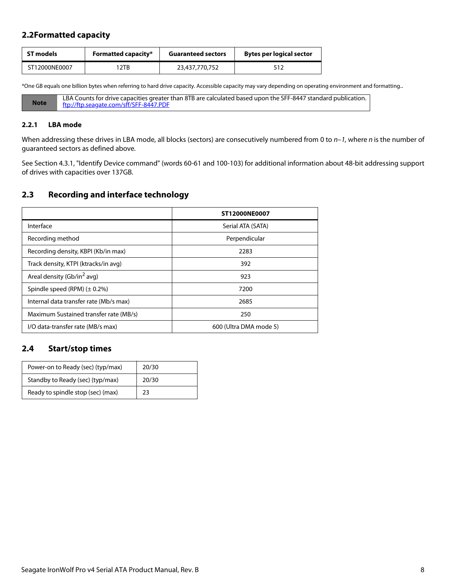# <span id="page-8-0"></span>**2.2Formatted capacity**

| ST models     | <b>Formatted capacity*</b> | <b>Guaranteed sectors</b> | <b>Bytes per logical sector</b> |
|---------------|----------------------------|---------------------------|---------------------------------|
| ST12000NE0007 | 12TB                       | 23,437,770,752            | 512                             |

\*One GB equals one billion bytes when referring to hard drive capacity. Accessible capacity may vary depending on operating environment and formatting..

| <b>Note</b> | LBA Counts for drive capacities greater than 8TB are calculated based upon the SFF-8447 standard publication. |
|-------------|---------------------------------------------------------------------------------------------------------------|
|             | ftp://ftp.seagate.com/sff/SFF-8447.PDF                                                                        |

#### <span id="page-8-1"></span>**2.2.1 LBA mode**

When addressing these drives in LBA mode, all blocks (sectors) are consecutively numbered from 0 to  $n-1$ , where n is the number of guaranteed sectors as defined above.

See [Section 4.3.1, "Identify Device command"](#page-29-0) (words 60-61 and 100-103) for additional information about 48-bit addressing support of drives with capacities over 137GB.

# <span id="page-8-2"></span>**2.3 Recording and interface technology**

|                                        | ST12000NE0007          |
|----------------------------------------|------------------------|
| Interface                              | Serial ATA (SATA)      |
| Recording method                       | Perpendicular          |
| Recording density, KBPI (Kb/in max)    | 2283                   |
| Track density, KTPI (ktracks/in avg)   | 392                    |
| Areal density (Gb/in <sup>2</sup> avg) | 923                    |
| Spindle speed (RPM) $(\pm 0.2\%)$      | 7200                   |
| Internal data transfer rate (Mb/s max) | 2685                   |
| Maximum Sustained transfer rate (MB/s) | 250                    |
| I/O data-transfer rate (MB/s max)      | 600 (Ultra DMA mode 5) |

## <span id="page-8-3"></span>**2.4 Start/stop times**

| Power-on to Ready (sec) (typ/max) | 20/30 |
|-----------------------------------|-------|
| Standby to Ready (sec) (typ/max)  | 20/30 |
| Ready to spindle stop (sec) (max) | 23    |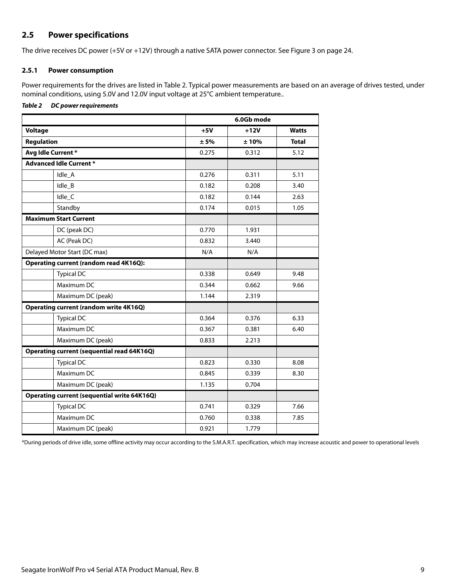# <span id="page-9-0"></span>**2.5 Power specifications**

The drive receives DC power (+5V or +12V) through a native SATA power connector. See Figure [3](#page-24-4) on [page 24](#page-24-4).

#### <span id="page-9-1"></span>**2.5.1 Power consumption**

Power requirements for the drives are listed in Table 2. Typical power measurements are based on an average of drives tested, under nominal conditions, using 5.0V and 12.0V input voltage at 25°C ambient temperature..

## *Table 2 DC power requirements*

|                                                    |       | 6.0Gb mode |              |
|----------------------------------------------------|-------|------------|--------------|
| <b>Voltage</b>                                     | $+5V$ | $+12V$     | <b>Watts</b> |
| <b>Regulation</b>                                  | ± 5%  | ±10%       | <b>Total</b> |
| Avg Idle Current*                                  | 0.275 | 0.312      | 5.12         |
| <b>Advanced Idle Current *</b>                     |       |            |              |
| Idle_A                                             | 0.276 | 0.311      | 5.11         |
| $Idle$ $B$                                         | 0.182 | 0.208      | 3.40         |
| Idle_C                                             | 0.182 | 0.144      | 2.63         |
| Standby                                            | 0.174 | 0.015      | 1.05         |
| <b>Maximum Start Current</b>                       |       |            |              |
| DC (peak DC)                                       | 0.770 | 1.931      |              |
| AC (Peak DC)                                       | 0.832 | 3.440      |              |
| Delayed Motor Start (DC max)                       | N/A   | N/A        |              |
| Operating current (random read 4K16Q):             |       |            |              |
| <b>Typical DC</b>                                  | 0.338 | 0.649      | 9.48         |
| Maximum DC                                         | 0.344 | 0.662      | 9.66         |
| Maximum DC (peak)                                  | 1.144 | 2.319      |              |
| <b>Operating current (random write 4K16Q)</b>      |       |            |              |
| <b>Typical DC</b>                                  | 0.364 | 0.376      | 6.33         |
| Maximum DC                                         | 0.367 | 0.381      | 6.40         |
| Maximum DC (peak)                                  | 0.833 | 2.213      |              |
| <b>Operating current (sequential read 64K16Q)</b>  |       |            |              |
| <b>Typical DC</b>                                  | 0.823 | 0.330      | 8.08         |
| Maximum DC                                         | 0.845 | 0.339      | 8.30         |
| Maximum DC (peak)                                  | 1.135 | 0.704      |              |
| <b>Operating current (sequential write 64K16Q)</b> |       |            |              |
| <b>Typical DC</b>                                  | 0.741 | 0.329      | 7.66         |
| Maximum DC                                         | 0.760 | 0.338      | 7.85         |
| Maximum DC (peak)                                  | 0.921 | 1.779      |              |

\*During periods of drive idle, some offline activity may occur according to the S.M.A.R.T. specification, which may increase acoustic and power to operational levels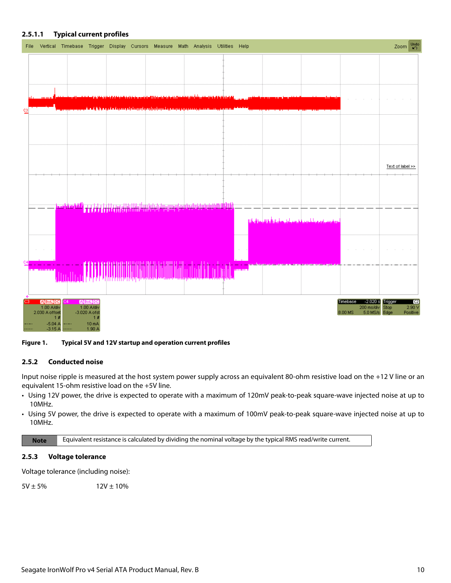

## **2.5.1.1 Typical current profiles**

**Figure 1. Typical 5V and 12V startup and operation current profiles**

#### <span id="page-10-0"></span>**2.5.2 Conducted noise**

Input noise ripple is measured at the host system power supply across an equivalent 80-ohm resistive load on the +12 V line or an equivalent 15-ohm resistive load on the +5V line.

- Using 12V power, the drive is expected to operate with a maximum of 120mV peak-to-peak square-wave injected noise at up to 10MHz.
- Using 5V power, the drive is expected to operate with a maximum of 100mV peak-to-peak square-wave injected noise at up to 10MHz.

**Note** Equivalent resistance is calculated by dividing the nominal voltage by the typical RMS read/write current.

#### <span id="page-10-1"></span>**2.5.3 Voltage tolerance**

Voltage tolerance (including noise):

 $5V \pm 5\%$  12V  $\pm 10\%$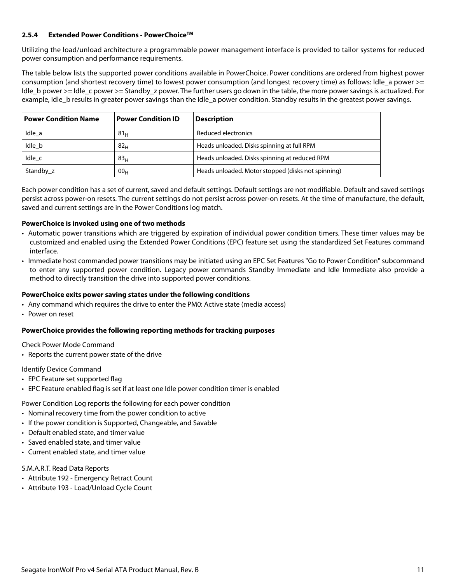### <span id="page-11-0"></span>**2.5.4 Extended Power Conditions - PowerChoiceTM**

Utilizing the load/unload architecture a programmable power management interface is provided to tailor systems for reduced power consumption and performance requirements.

The table below lists the supported power conditions available in PowerChoice. Power conditions are ordered from highest power consumption (and shortest recovery time) to lowest power consumption (and longest recovery time) as follows: Idle a power >= Idle b power >= Idle c power >= Standby z power. The further users go down in the table, the more power savings is actualized. For example, Idle\_b results in greater power savings than the Idle\_a power condition. Standby results in the greatest power savings.

| <b>Power Condition Name</b> | <b>Power Condition ID</b> | <b>Description</b>                                 |
|-----------------------------|---------------------------|----------------------------------------------------|
| Idle a                      | 81 <sub>H</sub>           | Reduced electronics                                |
| Idle b                      | 82 <sub>H</sub>           | Heads unloaded. Disks spinning at full RPM         |
| Idle c                      | 83 <sub>H</sub>           | Heads unloaded. Disks spinning at reduced RPM      |
| Standby z                   | 00 <sub>H</sub>           | Heads unloaded. Motor stopped (disks not spinning) |

Each power condition has a set of current, saved and default settings. Default settings are not modifiable. Default and saved settings persist across power-on resets. The current settings do not persist across power-on resets. At the time of manufacture, the default, saved and current settings are in the Power Conditions log match.

#### **PowerChoice is invoked using one of two methods**

- Automatic power transitions which are triggered by expiration of individual power condition timers. These timer values may be customized and enabled using the Extended Power Conditions (EPC) feature set using the standardized Set Features command interface.
- Immediate host commanded power transitions may be initiated using an EPC Set Features "Go to Power Condition" subcommand to enter any supported power condition. Legacy power commands Standby Immediate and Idle Immediate also provide a method to directly transition the drive into supported power conditions.

#### **PowerChoice exits power saving states under the following conditions**

- Any command which requires the drive to enter the PM0: Active state (media access)
- Power on reset

## **PowerChoice provides the following reporting methods for tracking purposes**

Check Power Mode Command

• Reports the current power state of the drive

#### Identify Device Command

- EPC Feature set supported flag
- EPC Feature enabled flag is set if at least one Idle power condition timer is enabled

Power Condition Log reports the following for each power condition

- Nominal recovery time from the power condition to active
- If the power condition is Supported, Changeable, and Savable
- Default enabled state, and timer value
- Saved enabled state, and timer value
- Current enabled state, and timer value

## S.M.A.R.T. Read Data Reports

- Attribute 192 Emergency Retract Count
- Attribute 193 Load/Unload Cycle Count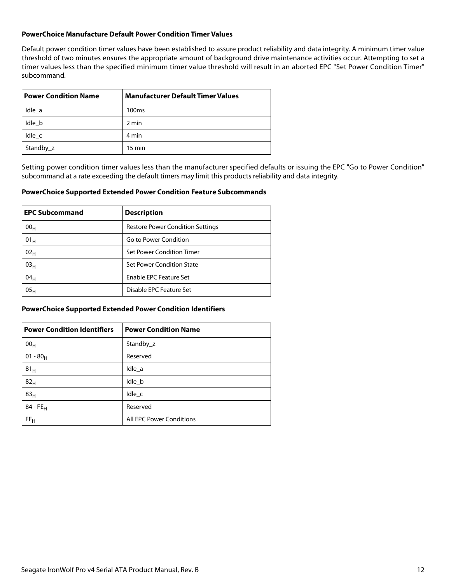#### **PowerChoice Manufacture Default Power Condition Timer Values**

Default power condition timer values have been established to assure product reliability and data integrity. A minimum timer value threshold of two minutes ensures the appropriate amount of background drive maintenance activities occur. Attempting to set a timer values less than the specified minimum timer value threshold will result in an aborted EPC "Set Power Condition Timer" subcommand.

| <b>Power Condition Name</b> | <b>Manufacturer Default Timer Values</b> |
|-----------------------------|------------------------------------------|
| Idle a                      | 100 <sub>ms</sub>                        |
| Idle b                      | 2 min                                    |
| Idle c                      | 4 min                                    |
| Standby_z                   | $15 \text{ min}$                         |

Setting power condition timer values less than the manufacturer specified defaults or issuing the EPC "Go to Power Condition" subcommand at a rate exceeding the default timers may limit this products reliability and data integrity.

#### **PowerChoice Supported Extended Power Condition Feature Subcommands**

| <b>EPC Subcommand</b> | <b>Description</b>                      |
|-----------------------|-----------------------------------------|
| 00 <sub>H</sub>       | <b>Restore Power Condition Settings</b> |
| $01_H$                | Go to Power Condition                   |
| 02 <sub>H</sub>       | Set Power Condition Timer               |
| 03 <sub>H</sub>       | Set Power Condition State               |
| 04 <sub>H</sub>       | <b>Enable EPC Feature Set</b>           |
| 05 <sub>H</sub>       | Disable EPC Feature Set                 |

#### **PowerChoice Supported Extended Power Condition Identifiers**

| <b>Power Condition Identifiers</b> | <b>Power Condition Name</b> |
|------------------------------------|-----------------------------|
| 00 <sub>H</sub>                    | Standby z                   |
| $01 - 80_H$                        | Reserved                    |
| 81 <sub>H</sub>                    | Idle_a                      |
| 82 <sub>H</sub>                    | Idle_b                      |
| 83 <sub>H</sub>                    | Idle_c                      |
| $84 - FE_H$                        | Reserved                    |
| FF <sub>H</sub>                    | All EPC Power Conditions    |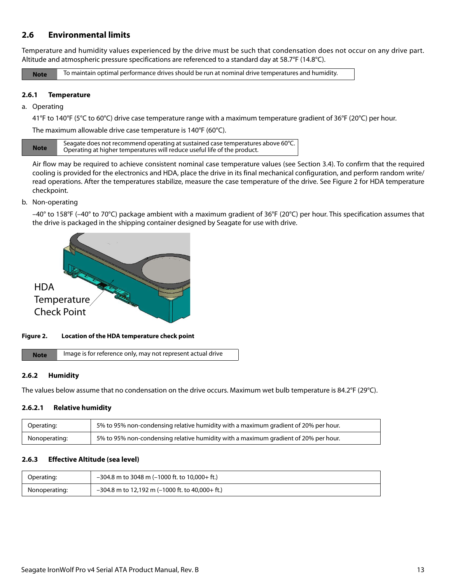# <span id="page-13-0"></span>**2.6 Environmental limits**

Temperature and humidity values experienced by the drive must be such that condensation does not occur on any drive part. Altitude and atmospheric pressure specifications are referenced to a standard day at 58.7°F (14.8°C).

**Note** To maintain optimal performance drives should be run at nominal drive temperatures and humidity.

#### <span id="page-13-1"></span>**2.6.1 Temperature**

#### a. Operating

41°F to 140°F (5°C to 60°C) drive case temperature range with a maximum temperature gradient of 36°F (20°C) per hour.

The maximum allowable drive case temperature is 140°F (60°C).

| <b>Note</b> | Seagate does not recommend operating at sustained case temperatures above 60 $^{\circ}$ C.<br>Operating at higher temperatures will reduce useful life of the product. |
|-------------|------------------------------------------------------------------------------------------------------------------------------------------------------------------------|

Air flow may be required to achieve consistent nominal case temperature values (see Section [3.4](#page-25-0)). To confirm that the required cooling is provided for the electronics and HDA, place the drive in its final mechanical configuration, and perform random write/ read operations. After the temperatures stabilize, measure the case temperature of the drive. See Figure [2](#page-13-4) for HDA temperature checkpoint.

#### b. Non-operating

–40° to 158°F (–40° to 70°C) package ambient with a maximum gradient of 36°F (20°C) per hour. This specification assumes that the drive is packaged in the shipping container designed by Seagate for use with drive.



#### <span id="page-13-4"></span>**Figure 2. Location of the HDA temperature check point**

**Note** | Image is for reference only, may not represent actual drive

#### <span id="page-13-2"></span>**2.6.2 Humidity**

The values below assume that no condensation on the drive occurs. Maximum wet bulb temperature is 84.2°F (29°C).

#### **2.6.2.1 Relative humidity**

| Operating:    | 5% to 95% non-condensing relative humidity with a maximum gradient of 20% per hour. |
|---------------|-------------------------------------------------------------------------------------|
| Nonoperating: | 5% to 95% non-condensing relative humidity with a maximum gradient of 20% per hour. |

#### <span id="page-13-3"></span>**2.6.3 Effective Altitude (sea level)**

| Operating:    | $-304.8$ m to 3048 m (–1000 ft. to 10,000+ ft.)   |
|---------------|---------------------------------------------------|
| Nonoperating: | $-304.8$ m to 12,192 m (-1000 ft. to 40,000+ ft.) |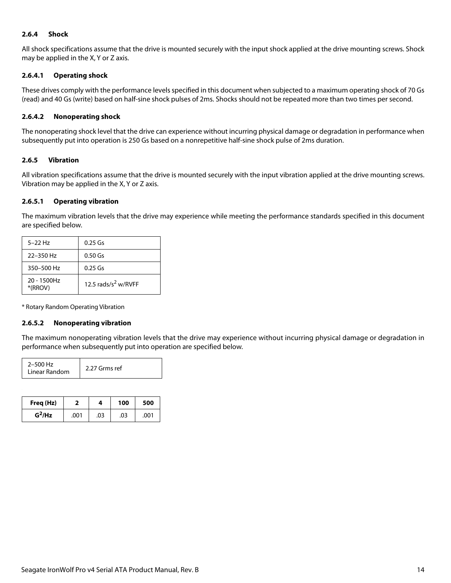### <span id="page-14-0"></span>**2.6.4 Shock**

All shock specifications assume that the drive is mounted securely with the input shock applied at the drive mounting screws. Shock may be applied in the X, Y or Z axis.

#### **2.6.4.1 Operating shock**

These drives comply with the performance levels specified in this document when subjected to a maximum operating shock of 70 Gs (read) and 40 Gs (write) based on half-sine shock pulses of 2ms. Shocks should not be repeated more than two times per second.

#### **2.6.4.2 Nonoperating shock**

The nonoperating shock level that the drive can experience without incurring physical damage or degradation in performance when subsequently put into operation is 250 Gs based on a nonrepetitive half-sine shock pulse of 2ms duration.

#### <span id="page-14-1"></span>**2.6.5 Vibration**

All vibration specifications assume that the drive is mounted securely with the input vibration applied at the drive mounting screws. Vibration may be applied in the X, Y or Z axis.

#### **2.6.5.1 Operating vibration**

The maximum vibration levels that the drive may experience while meeting the performance standards specified in this document are specified below.

| $5 - 22$ Hz               | $0.25$ Gs                       |
|---------------------------|---------------------------------|
| 22-350 Hz                 | $0.50$ Gs                       |
| 350-500 Hz                | $0.25$ Gs                       |
| $20 - 1500$ Hz<br>*(RROV) | 12.5 rads/s <sup>2</sup> w/RVFF |

\* Rotary Random Operating Vibration

#### **2.6.5.2 Nonoperating vibration**

The maximum nonoperating vibration levels that the drive may experience without incurring physical damage or degradation in performance when subsequently put into operation are specified below.

| 2-500 Hz<br>Linear Random | 2.27 Grms ref |
|---------------------------|---------------|
|---------------------------|---------------|

| Freq (Hz) |      | 4   | 100 | 500  |
|-----------|------|-----|-----|------|
| $G^2$ /Hz | .001 | .03 | .03 | .001 |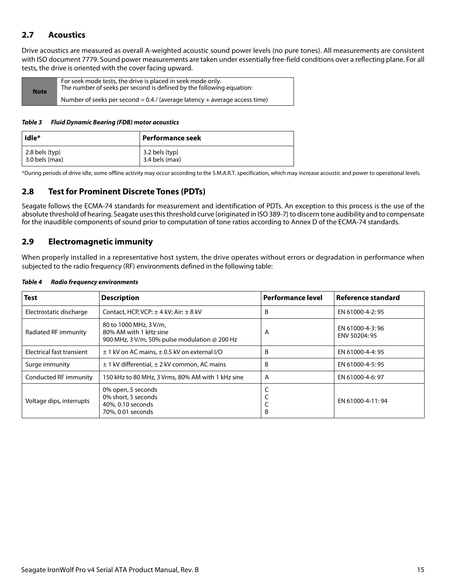# <span id="page-15-0"></span>**2.7 Acoustics**

Drive acoustics are measured as overall A-weighted acoustic sound power levels (no pure tones). All measurements are consistent with ISO document 7779. Sound power measurements are taken under essentially free-field conditions over a reflecting plane. For all tests, the drive is oriented with the cover facing upward.

| <b>Note</b> | For seek mode tests, the drive is placed in seek mode only.<br>The number of seeks per second is defined by the following equation: |
|-------------|-------------------------------------------------------------------------------------------------------------------------------------|
|             | Number of seeks per second = $0.4$ / (average latency + average access time)                                                        |

#### *Table 3 Fluid Dynamic Bearing (FDB) motor acoustics*

| Idle*                  | Performance seek |
|------------------------|------------------|
| $\vert$ 2.8 bels (typ) | 3.2 bels (typ)   |
| $3.0$ bels (max)       | 3.4 bels (max)   |

\*During periods of drive idle, some offline activity may occur according to the S.M.A.R.T. specification, which may increase acoustic and power to operational levels.

## <span id="page-15-1"></span>**2.8 Test for Prominent Discrete Tones (PDTs)**

Seagate follows the ECMA-74 standards for measurement and identification of PDTs. An exception to this process is the use of the absolute threshold of hearing. Seagate uses this threshold curve (originated in ISO 389-7) to discern tone audibility and to compensate for the inaudible components of sound prior to computation of tone ratios according to Annex D of the ECMA-74 standards.

## <span id="page-15-2"></span>**2.9 Electromagnetic immunity**

When properly installed in a representative host system, the drive operates without errors or degradation in performance when subjected to the radio frequency (RF) environments defined in the following table:

| Test                      | <b>Description</b>                                                                                       | Performance level | <b>Reference standard</b>        |
|---------------------------|----------------------------------------------------------------------------------------------------------|-------------------|----------------------------------|
| Electrostatic discharge   | Contact, HCP, VCP: $\pm$ 4 kV; Air: $\pm$ 8 kV                                                           | B                 | EN 61000-4-2: 95                 |
| Radiated RF immunity      | 80 to 1000 MHz, 3 V/m,<br>80% AM with 1 kHz sine<br>900 MHz, 3 V/m, 50% pulse modulation $\omega$ 200 Hz | A                 | EN 61000-4-3:96<br>ENV 50204: 95 |
| Electrical fast transient | $\pm$ 1 kV on AC mains, $\pm$ 0.5 kV on external I/O                                                     | B                 | EN 61000-4-4: 95                 |
| Surge immunity            | $\pm$ 1 kV differential, $\pm$ 2 kV common, AC mains                                                     | B                 | EN 61000-4-5: 95                 |
| Conducted RF immunity     | 150 kHz to 80 MHz, 3 Vrms, 80% AM with 1 kHz sine                                                        | A                 | EN 61000-4-6: 97                 |
| Voltage dips, interrupts  | 0% open, 5 seconds<br>0% short, 5 seconds<br>40%, 0.10 seconds<br>70%, 0.01 seconds                      | B                 | EN 61000-4-11:94                 |

#### *Table 4 Radio frequency environments*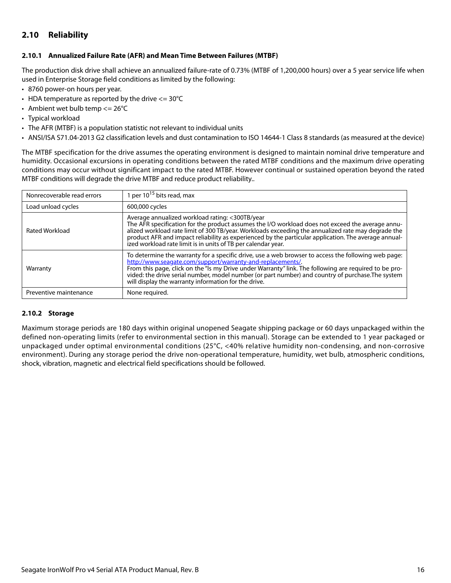# <span id="page-16-0"></span>**2.10 Reliability**

### <span id="page-16-1"></span>**2.10.1 Annualized Failure Rate (AFR) and Mean Time Between Failures (MTBF)**

The production disk drive shall achieve an annualized failure-rate of 0.73% (MTBF of 1,200,000 hours) over a 5 year service life when used in Enterprise Storage field conditions as limited by the following:

- 8760 power-on hours per year.
- HDA temperature as reported by the drive  $\leq$  = 30°C
- Ambient wet bulb temp  $\leq$  26°C
- Typical workload
- The AFR (MTBF) is a population statistic not relevant to individual units
- ANSI/ISA S71.04-2013 G2 classification levels and dust contamination to ISO 14644-1 Class 8 standards (as measured at the device)

The MTBF specification for the drive assumes the operating environment is designed to maintain nominal drive temperature and humidity. Occasional excursions in operating conditions between the rated MTBF conditions and the maximum drive operating conditions may occur without significant impact to the rated MTBF. However continual or sustained operation beyond the rated MTBF conditions will degrade the drive MTBF and reduce product reliability..

| Nonrecoverable read errors | 1 per $10^{15}$ bits read, max                                                                                                                                                                                                                                                                                                                                                                                                          |
|----------------------------|-----------------------------------------------------------------------------------------------------------------------------------------------------------------------------------------------------------------------------------------------------------------------------------------------------------------------------------------------------------------------------------------------------------------------------------------|
| Load unload cycles         | 600,000 cycles                                                                                                                                                                                                                                                                                                                                                                                                                          |
| Rated Workload             | Average annualized workload rating: <300TB/year<br>The AFR specification for the product assumes the I/O workload does not exceed the average annu-<br>alized workload rate limit of 300 TB/year. Workloads exceeding the annualized rate may degrade the<br>product AFR and impact reliability as experienced by the particular application. The average annual-<br>ized workload rate limit is in units of TB per calendar year.      |
| Warranty                   | To determine the warranty for a specific drive, use a web browser to access the following web page:<br>http://www.seagate.com/support/warranty-and-replacements/.<br>From this page, click on the "is my Drive under Warranty" link. The following are required to be pro-<br>vided: the drive serial number, model number (or part number) and country of purchase. The system<br>will display the warranty information for the drive. |
| Preventive maintenance     | None required.                                                                                                                                                                                                                                                                                                                                                                                                                          |

#### <span id="page-16-2"></span>**2.10.2 Storage**

Maximum storage periods are 180 days within original unopened Seagate shipping package or 60 days unpackaged within the defined non-operating limits (refer to environmental section in this manual). Storage can be extended to 1 year packaged or unpackaged under optimal environmental conditions (25°C, <40% relative humidity non-condensing, and non-corrosive environment). During any storage period the drive non-operational temperature, humidity, wet bulb, atmospheric conditions, shock, vibration, magnetic and electrical field specifications should be followed.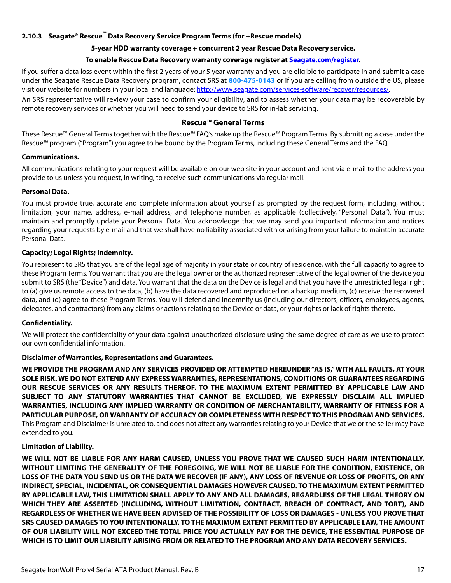## <span id="page-17-0"></span>**2.10.3 Seagate® Rescue™ Data Recovery Service Program Terms (for +Rescue models)**

## **5-year HDD warranty coverage + concurrent 2 year Rescue Data Recovery service.**

#### **[To enable Rescue Data Recovery warranty coverage register at S](http://Seagate.com/register)eagate.com/register.**

If you suffer a data loss event within the first 2 years of your 5 year warranty and you are eligible to participate in and submit a case under the Seagate Rescue Data Recovery program, contact SRS at **800-475-0143** [or if you are calling from outside the US, please](http://www.seagate.com/services-software/recover/resources/) [visit our website for numbers in your local and language:](http://www.seagate.com/services-software/recover/resources/) http://www.seagate.com/services-software/recover/resources/.

An SRS representative will review your case to confirm your eligibility, and to assess whether your data may be recoverable by remote recovery services or whether you will need to send your device to SRS for in-lab servicing.

## **Rescue™ General Terms**

These Rescue™ General Terms together with the Rescue™ FAQ's make up the Rescue™ Program Terms. By submitting a case under the Rescue™ program ("Program") you agree to be bound by the Program Terms, including these General Terms and the FAQ

#### **Communications.**

All communications relating to your request will be available on our web site in your account and sent via e-mail to the address you provide to us unless you request, in writing, to receive such communications via regular mail.

### **Personal Data.**

You must provide true, accurate and complete information about yourself as prompted by the request form, including, without limitation, your name, address, e-mail address, and telephone number, as applicable (collectively, "Personal Data"). You must maintain and promptly update your Personal Data. You acknowledge that we may send you important information and notices regarding your requests by e-mail and that we shall have no liability associated with or arising from your failure to maintain accurate Personal Data.

### **Capacity; Legal Rights; Indemnity.**

You represent to SRS that you are of the legal age of majority in your state or country of residence, with the full capacity to agree to these Program Terms. You warrant that you are the legal owner or the authorized representative of the legal owner of the device you submit to SRS (the "Device") and data. You warrant that the data on the Device is legal and that you have the unrestricted legal right to (a) give us remote access to the data, (b) have the data recovered and reproduced on a backup medium, (c) receive the recovered data, and (d) agree to these Program Terms. You will defend and indemnify us (including our directors, officers, employees, agents, delegates, and contractors) from any claims or actions relating to the Device or data, or your rights or lack of rights thereto.

## **Confidentiality.**

We will protect the confidentiality of your data against unauthorized disclosure using the same degree of care as we use to protect our own confidential information.

#### **Disclaimer of Warranties, Representations and Guarantees.**

**WE PROVIDE THE PROGRAM AND ANY SERVICES PROVIDED OR ATTEMPTED HEREUNDER "AS IS," WITH ALL FAULTS, AT YOUR SOLE RISK. WE DO NOT EXTEND ANY EXPRESS WARRANTIES, REPRESENTATIONS, CONDITIONS OR GUARANTEES REGARDING OUR RESCUE SERVICES OR ANY RESULTS THEREOF. TO THE MAXIMUM EXTENT PERMITTED BY APPLICABLE LAW AND SUBJECT TO ANY STATUTORY WARRANTIES THAT CANNOT BE EXCLUDED, WE EXPRESSLY DISCLAIM ALL IMPLIED WARRANTIES, INCLUDING ANY IMPLIED WARRANTY OR CONDITION OF MERCHANTABILITY, WARRANTY OF FITNESS FOR A PARTICULAR PURPOSE, OR WARRANTY OF ACCURACY OR COMPLETENESS WITH RESPECT TO THIS PROGRAM AND SERVICES.** This Program and Disclaimer is unrelated to, and does not affect any warranties relating to your Device that we or the seller may have extended to you.

## **Limitation of Liability.**

**WE WILL NOT BE LIABLE FOR ANY HARM CAUSED, UNLESS YOU PROVE THAT WE CAUSED SUCH HARM INTENTIONALLY. WITHOUT LIMITING THE GENERALITY OF THE FOREGOING, WE WILL NOT BE LIABLE FOR THE CONDITION, EXISTENCE, OR LOSS OF THE DATA YOU SEND US OR THE DATA WE RECOVER (IF ANY), ANY LOSS OF REVENUE OR LOSS OF PROFITS, OR ANY INDIRECT, SPECIAL, INCIDENTAL, OR CONSEQUENTIAL DAMAGES HOWEVER CAUSED. TO THE MAXIMUM EXTENT PERMITTED BY APPLICABLE LAW, THIS LIMITATION SHALL APPLY TO ANY AND ALL DAMAGES, REGARDLESS OF THE LEGAL THEORY ON WHICH THEY ARE ASSERTED (INCLUDING, WITHOUT LIMITATION, CONTRACT, BREACH OF CONTRACT, AND TORT), AND REGARDLESS OF WHETHER WE HAVE BEEN ADVISED OF THE POSSIBILITY OF LOSS OR DAMAGES - UNLESS YOU PROVE THAT SRS CAUSED DAMAGES TO YOU INTENTIONALLY. TO THE MAXIMUM EXTENT PERMITTED BY APPLICABLE LAW, THE AMOUNT OF OUR LIABILITY WILL NOT EXCEED THE TOTAL PRICE YOU ACTUALLY PAY FOR THE DEVICE, THE ESSENTIAL PURPOSE OF WHICH IS TO LIMIT OUR LIABILITY ARISING FROM OR RELATED TO THE PROGRAM AND ANY DATA RECOVERY SERVICES.**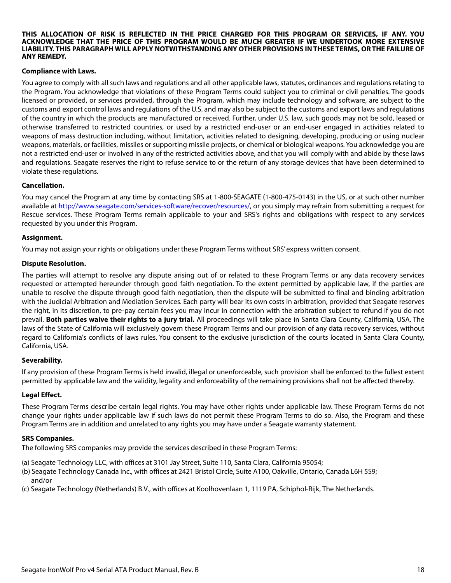#### **THIS ALLOCATION OF RISK IS REFLECTED IN THE PRICE CHARGED FOR THIS PROGRAM OR SERVICES, IF ANY. YOU ACKNOWLEDGE THAT THE PRICE OF THIS PROGRAM WOULD BE MUCH GREATER IF WE UNDERTOOK MORE EXTENSIVE LIABILITY. THIS PARAGRAPH WILL APPLY NOTWITHSTANDING ANY OTHER PROVISIONS IN THESE TERMS, OR THE FAILURE OF ANY REMEDY.**

#### **Compliance with Laws.**

You agree to comply with all such laws and regulations and all other applicable laws, statutes, ordinances and regulations relating to the Program. You acknowledge that violations of these Program Terms could subject you to criminal or civil penalties. The goods licensed or provided, or services provided, through the Program, which may include technology and software, are subject to the customs and export control laws and regulations of the U.S. and may also be subject to the customs and export laws and regulations of the country in which the products are manufactured or received. Further, under U.S. law, such goods may not be sold, leased or otherwise transferred to restricted countries, or used by a restricted end-user or an end-user engaged in activities related to weapons of mass destruction including, without limitation, activities related to designing, developing, producing or using nuclear weapons, materials, or facilities, missiles or supporting missile projects, or chemical or biological weapons. You acknowledge you are not a restricted end-user or involved in any of the restricted activities above, and that you will comply with and abide by these laws and regulations. Seagate reserves the right to refuse service to or the return of any storage devices that have been determined to violate these regulations.

#### **Cancellation.**

[You may cancel the Program at any time by contacting SRS at 1-800-SEAGATE \(1-800-475-0143\) in the US, or at such other number](http://www.seagate.com/services-software/recover/resources/) [available at h](http://www.seagate.com/services-software/recover/resources/)ttp://www.seagate.com/services-software/recover/resources/, or you simply may refrain from submitting a request for Rescue services. These Program Terms remain applicable to your and SRS's rights and obligations with respect to any services requested by you under this Program.

#### **Assignment.**

You may not assign your rights or obligations under these Program Terms without SRS' express written consent.

#### **Dispute Resolution.**

The parties will attempt to resolve any dispute arising out of or related to these Program Terms or any data recovery services requested or attempted hereunder through good faith negotiation. To the extent permitted by applicable law, if the parties are unable to resolve the dispute through good faith negotiation, then the dispute will be submitted to final and binding arbitration with the Judicial Arbitration and Mediation Services. Each party will bear its own costs in arbitration, provided that Seagate reserves the right, in its discretion, to pre-pay certain fees you may incur in connection with the arbitration subject to refund if you do not prevail. **Both parties waive their rights to a jury trial.** All proceedings will take place in Santa Clara County, California, USA. The laws of the State of California will exclusively govern these Program Terms and our provision of any data recovery services, without regard to California's conflicts of laws rules. You consent to the exclusive jurisdiction of the courts located in Santa Clara County, California, USA.

#### **Severability.**

If any provision of these Program Terms is held invalid, illegal or unenforceable, such provision shall be enforced to the fullest extent permitted by applicable law and the validity, legality and enforceability of the remaining provisions shall not be affected thereby.

#### **Legal Effect.**

These Program Terms describe certain legal rights. You may have other rights under applicable law. These Program Terms do not change your rights under applicable law if such laws do not permit these Program Terms to do so. Also, the Program and these Program Terms are in addition and unrelated to any rights you may have under a Seagate warranty statement.

#### **SRS Companies.**

The following SRS companies may provide the services described in these Program Terms:

- (a) Seagate Technology LLC, with offices at 3101 Jay Street, Suite 110, Santa Clara, California 95054;
- (b) Seagate Technology Canada Inc., with offices at 2421 Bristol Circle, Suite A100, Oakville, Ontario, Canada L6H 5S9; and/or
- (c) Seagate Technology (Netherlands) B.V., with offices at Koolhovenlaan 1, 1119 PA, Schiphol-Rijk, The Netherlands.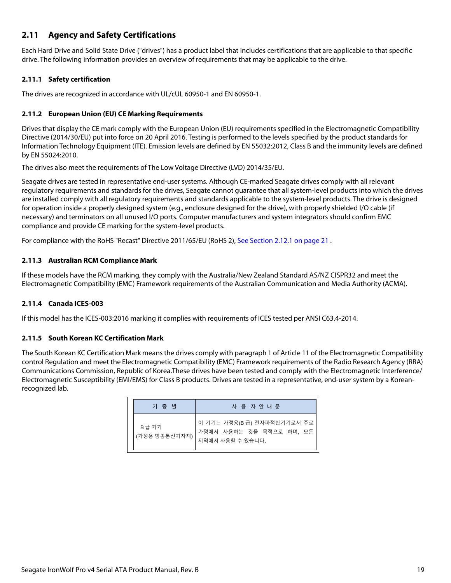# <span id="page-19-0"></span>**2.11 Agency and Safety Certifications**

Each Hard Drive and Solid State Drive ("drives") has a product label that includes certifications that are applicable to that specific drive. The following information provides an overview of requirements that may be applicable to the drive.

## <span id="page-19-1"></span>**2.11.1 Safety certification**

The drives are recognized in accordance with UL/cUL 60950-1 and EN 60950-1.

## <span id="page-19-2"></span>**2.11.2 European Union (EU) CE Marking Requirements**

Drives that display the CE mark comply with the European Union (EU) requirements specified in the Electromagnetic Compatibility Directive (2014/30/EU) put into force on 20 April 2016. Testing is performed to the levels specified by the product standards for Information Technology Equipment (ITE). Emission levels are defined by EN 55032:2012, Class B and the immunity levels are defined by EN 55024:2010.

The drives also meet the requirements of The Low Voltage Directive (LVD) 2014/35/EU.

Seagate drives are tested in representative end-user systems. Although CE-marked Seagate drives comply with all relevant regulatory requirements and standards for the drives, Seagate cannot guarantee that all system-level products into which the drives are installed comply with all regulatory requirements and standards applicable to the system-level products. The drive is designed for operation inside a properly designed system (e.g., enclosure designed for the drive), with properly shielded I/O cable (if necessary) and terminators on all unused I/O ports. Computer manufacturers and system integrators should confirm EMC compliance and provide CE marking for the system-level products.

For compliance with the RoHS "Recast" Directive 2011/65/EU (RoHS 2), [See Section 2.12.1 on page 21](#page-21-1) .

## <span id="page-19-3"></span>**2.11.3 Australian RCM Compliance Mark**

If these models have the RCM marking, they comply with the Australia/New Zealand Standard AS/NZ CISPR32 and meet the Electromagnetic Compatibility (EMC) Framework requirements of the Australian Communication and Media Authority (ACMA).

## <span id="page-19-4"></span>**2.11.4 Canada ICES-003**

If this model has the ICES-003:2016 marking it complies with requirements of ICES tested per ANSI C63.4-2014.

## <span id="page-19-5"></span>**2.11.5 South Korean KC Certification Mark**

The South Korean KC Certification Mark means the drives comply with paragraph 1 of Article 11 of the Electromagnetic Compatibility control Regulation and meet the Electromagnetic Compatibility (EMC) Framework requirements of the Radio Research Agency (RRA) Communications Commission, Republic of Korea.These drives have been tested and comply with the Electromagnetic Interference/ Electromagnetic Susceptibility (EMI/EMS) for Class B products. Drives are tested in a representative, end-user system by a Koreanrecognized lab.

| 기 종 별                  | 사 용 자 안 내 문                                                                 |
|------------------------|-----------------------------------------------------------------------------|
| B급 기기<br>(가정용 방송통신기자재) | 이 기기는 가정용(B 급) 전자파적합기기로서 주로<br>가정에서 사용하는 것을 목적으로 하며, 모든<br>지역에서 사용할 수 있습니다. |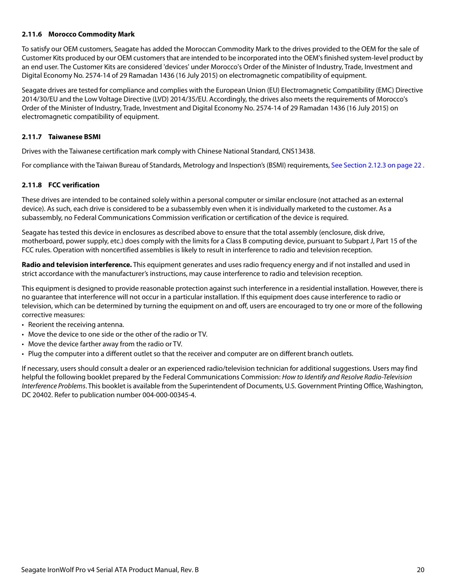### <span id="page-20-0"></span>**2.11.6 Morocco Commodity Mark**

To satisfy our OEM customers, Seagate has added the Moroccan Commodity Mark to the drives provided to the OEM for the sale of Customer Kits produced by our OEM customers that are intended to be incorporated into the OEM's finished system-level product by an end user. The Customer Kits are considered 'devices' under Morocco's Order of the Minister of Industry, Trade, Investment and Digital Economy No. 2574-14 of 29 Ramadan 1436 (16 July 2015) on electromagnetic compatibility of equipment.

Seagate drives are tested for compliance and complies with the European Union (EU) Electromagnetic Compatibility (EMC) Directive 2014/30/EU and the Low Voltage Directive (LVD) 2014/35/EU. Accordingly, the drives also meets the requirements of Morocco's Order of the Minister of Industry, Trade, Investment and Digital Economy No. 2574-14 of 29 Ramadan 1436 (16 July 2015) on electromagnetic compatibility of equipment.

### <span id="page-20-1"></span>**2.11.7 Taiwanese BSMI**

Drives with the Taiwanese certification mark comply with Chinese National Standard, CNS13438.

For compliance with the Taiwan Bureau of Standards, Metrology and Inspection's (BSMI) requirements, [See Section 2.12.3 on page 22](#page-22-0) .

### <span id="page-20-2"></span>**2.11.8 FCC verification**

These drives are intended to be contained solely within a personal computer or similar enclosure (not attached as an external device). As such, each drive is considered to be a subassembly even when it is individually marketed to the customer. As a subassembly, no Federal Communications Commission verification or certification of the device is required.

Seagate has tested this device in enclosures as described above to ensure that the total assembly (enclosure, disk drive, motherboard, power supply, etc.) does comply with the limits for a Class B computing device, pursuant to Subpart J, Part 15 of the FCC rules. Operation with noncertified assemblies is likely to result in interference to radio and television reception.

**Radio and television interference.** This equipment generates and uses radio frequency energy and if not installed and used in strict accordance with the manufacturer's instructions, may cause interference to radio and television reception.

This equipment is designed to provide reasonable protection against such interference in a residential installation. However, there is no guarantee that interference will not occur in a particular installation. If this equipment does cause interference to radio or television, which can be determined by turning the equipment on and off, users are encouraged to try one or more of the following corrective measures:

- Reorient the receiving antenna.
- Move the device to one side or the other of the radio or TV.
- Move the device farther away from the radio or TV.
- Plug the computer into a different outlet so that the receiver and computer are on different branch outlets.

If necessary, users should consult a dealer or an experienced radio/television technician for additional suggestions. Users may find helpful the following booklet prepared by the Federal Communications Commission: How to Identify and Resolve Radio-Television Interference Problems. This booklet is available from the Superintendent of Documents, U.S. Government Printing Office, Washington, DC 20402. Refer to publication number 004-000-00345-4.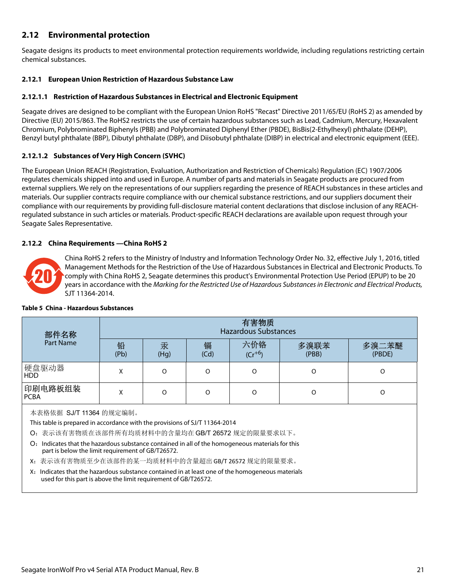# <span id="page-21-0"></span>**2.12 Environmental protection**

Seagate designs its products to meet environmental protection requirements worldwide, including regulations restricting certain chemical substances.

## <span id="page-21-1"></span>**2.12.1 European Union Restriction of Hazardous Substance Law**

## **2.12.1.1 Restriction of Hazardous Substances in Electrical and Electronic Equipment**

Seagate drives are designed to be compliant with the European Union RoHS "Recast" Directive 2011/65/EU (RoHS 2) as amended by Directive (EU) 2015/863. The RoHS2 restricts the use of certain hazardous substances such as Lead, Cadmium, Mercury, Hexavalent Chromium, Polybrominated Biphenyls (PBB) and Polybrominated Diphenyl Ether (PBDE), BisBis(2-Ethylhexyl) phthalate (DEHP), Benzyl butyl phthalate (BBP), Dibutyl phthalate (DBP), and Diisobutyl phthalate (DIBP) in electrical and electronic equipment (EEE).

## **2.12.1.2 Substances of Very High Concern (SVHC)**

The European Union REACH (Registration, Evaluation, Authorization and Restriction of Chemicals) Regulation (EC) 1907/2006 regulates chemicals shipped into and used in Europe. A number of parts and materials in Seagate products are procured from external suppliers. We rely on the representations of our suppliers regarding the presence of REACH substances in these articles and materials. Our supplier contracts require compliance with our chemical substance restrictions, and our suppliers document their compliance with our requirements by providing full-disclosure material content declarations that disclose inclusion of any REACHregulated substance in such articles or materials. Product-specific REACH declarations are available upon request through your Seagate Sales Representative.

## <span id="page-21-2"></span>**2.12.2 China Requirements —China RoHS 2**



China RoHS 2 refers to the Ministry of Industry and Information Technology Order No. 32, effective July 1, 2016, titled Management Methods for the Restriction of the Use of Hazardous Substances in Electrical and Electronic Products. To comply with China RoHS 2, Seagate determines this product's Environmental Protection Use Period (EPUP) to be 20 years in accordance with the Marking for the Restricted Use of Hazardous Substances in Electronic and Electrical Products, SJT 11364-2014.

| 部件名称                                                                                                                                                                                                                                                                                                                                                                                                                                                                                                                                            | 有害物质<br><b>Hazardous Substances</b> |           |           |                    |               |                 |
|-------------------------------------------------------------------------------------------------------------------------------------------------------------------------------------------------------------------------------------------------------------------------------------------------------------------------------------------------------------------------------------------------------------------------------------------------------------------------------------------------------------------------------------------------|-------------------------------------|-----------|-----------|--------------------|---------------|-----------------|
| Part Name                                                                                                                                                                                                                                                                                                                                                                                                                                                                                                                                       | 铅<br>(Pb)                           | 汞<br>(Hg) | 镉<br>(Cd) | 六价铬<br>$(Cr^{+6})$ | 多溴联苯<br>(PBB) | 多溴二苯醚<br>(PBDE) |
| 硬盘驱动器<br><b>HDD</b>                                                                                                                                                                                                                                                                                                                                                                                                                                                                                                                             | X                                   | $\Omega$  | $\Omega$  | $\Omega$           | $\Omega$      | O               |
| 印刷电路板组装<br><b>PCBA</b>                                                                                                                                                                                                                                                                                                                                                                                                                                                                                                                          | X                                   | $\Omega$  | $\Omega$  | $\Omega$           | $\circ$       | O               |
| 本表格依据 SJ/T 11364 的规定编制。<br>This table is prepared in accordance with the provisions of SJ/T 11364-2014<br>O: 表示该有害物质在该部件所有均质材料中的含量均在 GB/T 26572 规定的限量要求以下。<br>O: Indicates that the hazardous substance contained in all of the homogeneous materials for this<br>part is below the limit requirement of GB/T26572.<br>X: 表示该有害物质至少在该部件的某一均质材料中的含量超出 GB/T 26572 规定的限量要求。<br>X: Indicates that the hazardous substance contained in at least one of the homogeneous materials<br>used for this part is above the limit requirement of GB/T26572. |                                     |           |           |                    |               |                 |

#### **Table 5 China - Hazardous Substances**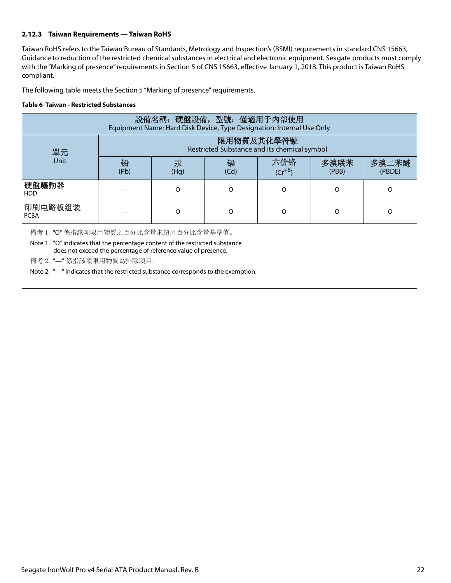## <span id="page-22-0"></span>**2.12.3 Taiwan Requirements — Taiwan RoHS**

Taiwan RoHS refers to the Taiwan Bureau of Standards, Metrology and Inspection's (BSMI) requirements in standard CNS 15663, Guidance to reduction of the restricted chemical substances in electrical and electronic equipment. Seagate products must comply with the "Marking of presence" requirements in Section 5 of CNS 15663, effective January 1, 2018. This product is Taiwan RoHS compliant.

The following table meets the Section 5 "Marking of presence" requirements.

#### **Table 6 Taiwan - Restricted Substances**

| 設備名稱: 硬盤設備, 型號: 僅適用于內部使用<br>Equipment Name: Hard Disk Device, Type Designation: Internal Use Only |      |                                                            |      |             |       |        |
|---------------------------------------------------------------------------------------------------|------|------------------------------------------------------------|------|-------------|-------|--------|
|                                                                                                   |      |                                                            |      |             |       |        |
|                                                                                                   |      | 限用物質及其化學符號<br>Restricted Substance and its chemical symbol |      |             |       |        |
| 單元                                                                                                |      |                                                            |      |             |       |        |
| <b>Unit</b>                                                                                       | 铅    | 汞                                                          | 镉    | 六价铬         | 多溴联苯  | 多溴二苯醚  |
|                                                                                                   | (Pb) | (Hg)                                                       | (Cd) | $(Cr^{+6})$ | (PBB) | (PBDE) |
| 硬盤驅動器<br><b>HDD</b>                                                                               |      | O                                                          | O    | O           | O     | O      |
| 印刷电路板组装<br><b>PCBA</b>                                                                            |      | $\Omega$                                                   | O    | O           | O     | O      |
| 備考 1. "O" 係指該项限用物質之百分比含量未超出百分比含量基準值。                                                              |      |                                                            |      |             |       |        |
| Note 1. "O" indicates that the percentage content of the restricted substance                     |      |                                                            |      |             |       |        |
| does not exceed the percentage of reference value of presence.                                    |      |                                                            |      |             |       |        |
| 備考 2. "-" 係指該项限用物質為排除項目。                                                                          |      |                                                            |      |             |       |        |
| Note 2. "—" indicates that the restricted substance corresponds to the exemption.                 |      |                                                            |      |             |       |        |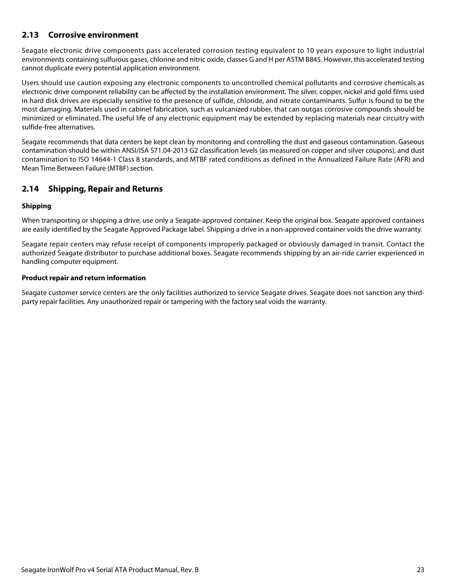# <span id="page-23-0"></span>**2.13 Corrosive environment**

Seagate electronic drive components pass accelerated corrosion testing equivalent to 10 years exposure to light industrial environments containing sulfurous gases, chlorine and nitric oxide, classes G and H per ASTM B845. However, this accelerated testing cannot duplicate every potential application environment.

Users should use caution exposing any electronic components to uncontrolled chemical pollutants and corrosive chemicals as electronic drive component reliability can be affected by the installation environment. The silver, copper, nickel and gold films used in hard disk drives are especially sensitive to the presence of sulfide, chloride, and nitrate contaminants. Sulfur is found to be the most damaging. Materials used in cabinet fabrication, such as vulcanized rubber, that can outgas corrosive compounds should be minimized or eliminated. The useful life of any electronic equipment may be extended by replacing materials near circuitry with sulfide-free alternatives.

Seagate recommends that data centers be kept clean by monitoring and controlling the dust and gaseous contamination. Gaseous contamination should be within ANSI/ISA S71.04-2013 G2 classification levels (as measured on copper and silver coupons), and dust contamination to ISO 14644-1 Class 8 standards, and MTBF rated conditions as defined in the Annualized Failure Rate (AFR) and Mean Time Between Failure (MTBF) section.

## <span id="page-23-1"></span>**2.14 Shipping, Repair and Returns**

### **Shipping**

When transporting or shipping a drive, use only a Seagate-approved container. Keep the original box. Seagate approved containers are easily identified by the Seagate Approved Package label. Shipping a drive in a non-approved container voids the drive warranty.

Seagate repair centers may refuse receipt of components improperly packaged or obviously damaged in transit. Contact the authorized Seagate distributor to purchase additional boxes. Seagate recommends shipping by an air-ride carrier experienced in handling computer equipment.

#### **Product repair and return information**

Seagate customer service centers are the only facilities authorized to service Seagate drives. Seagate does not sanction any thirdparty repair facilities. Any unauthorized repair or tampering with the factory seal voids the warranty.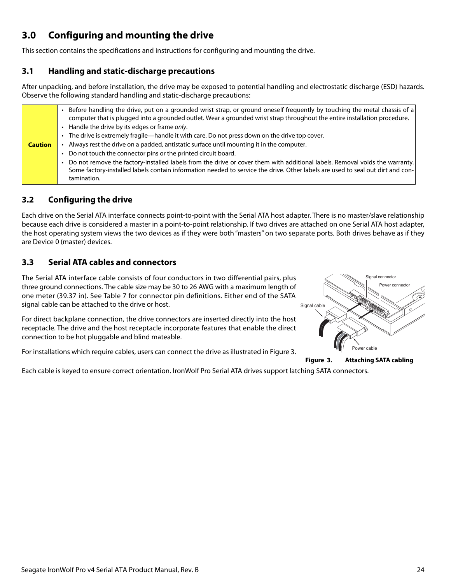# <span id="page-24-0"></span>**3.0 Configuring and mounting the drive**

This section contains the specifications and instructions for configuring and mounting the drive.

# <span id="page-24-1"></span>**3.1 Handling and static-discharge precautions**

After unpacking, and before installation, the drive may be exposed to potential handling and electrostatic discharge (ESD) hazards. Observe the following standard handling and static-discharge precautions:

| Before handling the drive, put on a grounded wrist strap, or ground oneself frequently by touching the metal chassis of a<br>computer that is plugged into a grounded outlet. Wear a grounded wrist strap throughout the entire installation procedure.<br>• Handle the drive by its edges or frame only.<br>• The drive is extremely fragile—handle it with care. Do not press down on the drive top cover.<br>Always rest the drive on a padded, antistatic surface until mounting it in the computer.<br><b>Caution</b><br>Do not touch the connector pins or the printed circuit board.<br>Do not remove the factory-installed labels from the drive or cover them with additional labels. Removal voids the warranty.<br>Some factory-installed labels contain information needed to service the drive. Other labels are used to seal out dirt and con- |
|--------------------------------------------------------------------------------------------------------------------------------------------------------------------------------------------------------------------------------------------------------------------------------------------------------------------------------------------------------------------------------------------------------------------------------------------------------------------------------------------------------------------------------------------------------------------------------------------------------------------------------------------------------------------------------------------------------------------------------------------------------------------------------------------------------------------------------------------------------------|
| tamination.                                                                                                                                                                                                                                                                                                                                                                                                                                                                                                                                                                                                                                                                                                                                                                                                                                                  |
|                                                                                                                                                                                                                                                                                                                                                                                                                                                                                                                                                                                                                                                                                                                                                                                                                                                              |

# <span id="page-24-2"></span>**3.2 Configuring the drive**

Each drive on the Serial ATA interface connects point-to-point with the Serial ATA host adapter. There is no master/slave relationship because each drive is considered a master in a point-to-point relationship. If two drives are attached on one Serial ATA host adapter, the host operating system views the two devices as if they were both "masters" on two separate ports. Both drives behave as if they are Device 0 (master) devices.

# <span id="page-24-3"></span>**3.3 Serial ATA cables and connectors**

The Serial ATA interface cable consists of four conductors in two differential pairs, plus three ground connections. The cable size may be 30 to 26 AWG with a maximum length of one meter (39.37 in). See Table 7 for connector pin definitions. Either end of the SATA signal cable can be attached to the drive or host.

For direct backplane connection, the drive connectors are inserted directly into the host receptacle. The drive and the host receptacle incorporate features that enable the direct connection to be hot pluggable and blind mateable.

<span id="page-24-4"></span>For installations which require cables, users can connect the drive as illustrated in Figure [3](#page-24-4).





Each cable is keyed to ensure correct orientation. IronWolf Pro Serial ATA drives support latching SATA connectors.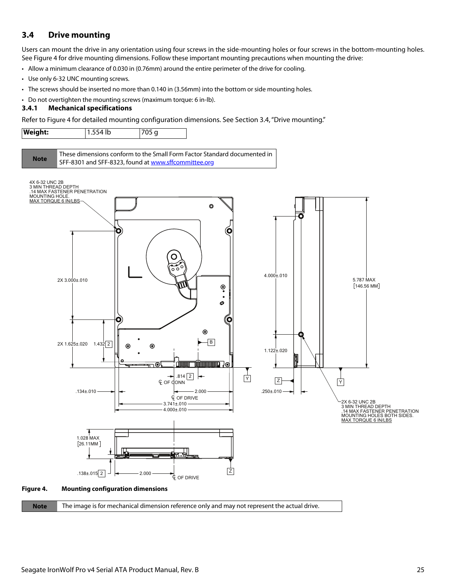# <span id="page-25-0"></span>**3.4 Drive mounting**

Users can mount the drive in any orientation using four screws in the side-mounting holes or four screws in the bottom-mounting holes. See Figure [4](#page-25-2) for drive mounting dimensions. Follow these important mounting precautions when mounting the drive:

• Allow a minimum clearance of 0.030 in (0.76mm) around the entire perimeter of the drive for cooling.

- Use only 6-32 UNC mounting screws.
- The screws should be inserted no more than 0.140 in (3.56mm) into the bottom or side mounting holes.
- Do not overtighten the mounting screws (maximum torque: 6 in-lb).

#### <span id="page-25-1"></span>**3.4.1 Mechanical specifications**

Refer to Figure [4](#page-25-2) for detailed mounting configuration dimensions. See Section [3.4](#page-25-0), "Drive mounting."







### <span id="page-25-2"></span>**Figure 4. Mounting configuration dimensions**

| <b>Note</b> | The image is for mechanical dimension reference only and may not represent the actual drive. |  |
|-------------|----------------------------------------------------------------------------------------------|--|
|-------------|----------------------------------------------------------------------------------------------|--|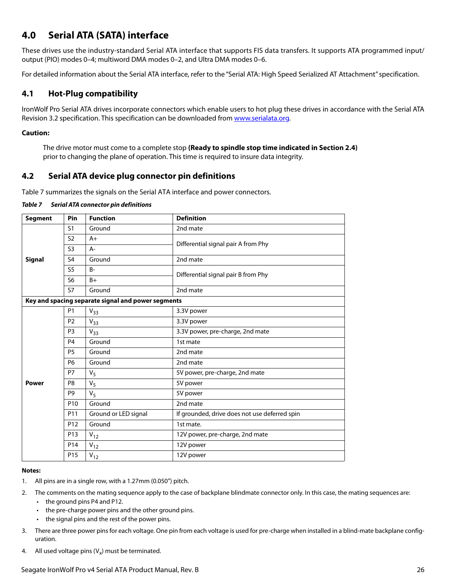# <span id="page-26-0"></span>**4.0 Serial ATA (SATA) interface**

These drives use the industry-standard Serial ATA interface that supports FIS data transfers. It supports ATA programmed input/ output (PIO) modes 0–4; multiword DMA modes 0–2, and Ultra DMA modes 0–6.

For detailed information about the Serial ATA interface, refer to the "Serial ATA: High Speed Serialized AT Attachment" specification.

# <span id="page-26-1"></span>**4.1 Hot-Plug compatibility**

IronWolf Pro Serial ATA drives incorporate connectors which enable users to hot plug these drives in accordance with the Serial ATA Revision 3.2 specification. This specification can be downloaded from [www.serialata.or](http://www.serialata.org)g.

## **Caution:**

The drive motor must come to a complete stop **(Ready to spindle stop time indicated in [Section 2.4](#page-8-3))** prior to changing the plane of operation. This time is required to insure data integrity.

# <span id="page-26-2"></span>**4.2 Serial ATA device plug connector pin definitions**

Table 7 summarizes the signals on the Serial ATA interface and power connectors.

| Table 7 | Serial ATA connector pin definitions |
|---------|--------------------------------------|
|         |                                      |

| <b>Segment</b> | Pin             | <b>Function</b>                                    | <b>Definition</b>                             |
|----------------|-----------------|----------------------------------------------------|-----------------------------------------------|
|                | S <sub>1</sub>  | Ground                                             | 2nd mate                                      |
|                | S <sub>2</sub>  | $A+$                                               | Differential signal pair A from Phy           |
|                | S <sub>3</sub>  | $A -$                                              |                                               |
| <b>Signal</b>  | S <sub>4</sub>  | Ground                                             | 2nd mate                                      |
|                | S <sub>5</sub>  | $B -$                                              | Differential signal pair B from Phy           |
|                | S <sub>6</sub>  | $B+$                                               |                                               |
|                | <b>S7</b>       | Ground                                             | 2nd mate                                      |
|                |                 | Key and spacing separate signal and power segments |                                               |
|                | <b>P1</b>       | $V_{33}$                                           | 3.3V power                                    |
|                | P <sub>2</sub>  | $V_{33}$                                           | 3.3V power                                    |
|                | P <sub>3</sub>  | $V_{33}$                                           | 3.3V power, pre-charge, 2nd mate              |
|                | P <sub>4</sub>  | Ground                                             | 1st mate                                      |
|                | P <sub>5</sub>  | Ground                                             | 2nd mate                                      |
|                | <b>P6</b>       | Ground                                             | 2nd mate                                      |
|                | <b>P7</b>       | $V_5$                                              | 5V power, pre-charge, 2nd mate                |
| <b>Power</b>   | P8              | $V_5$                                              | 5V power                                      |
|                | P9              | $V_5$                                              | 5V power                                      |
|                | P <sub>10</sub> | Ground                                             | 2nd mate                                      |
|                | P11             | Ground or LED signal                               | If grounded, drive does not use deferred spin |
|                | P12             | Ground                                             | 1st mate.                                     |
|                | P13             | $V_{12}$                                           | 12V power, pre-charge, 2nd mate               |
|                | P <sub>14</sub> | $V_{12}$                                           | 12V power                                     |
|                | P <sub>15</sub> | $V_{12}$                                           | 12V power                                     |

#### **Notes:**

- 1. All pins are in a single row, with a 1.27mm (0.050") pitch.
- 2. The comments on the mating sequence apply to the case of backplane blindmate connector only. In this case, the mating sequences are:
	- the ground pins P4 and P12.
	- the pre-charge power pins and the other ground pins.
	- the signal pins and the rest of the power pins.
- 3. There are three power pins for each voltage. One pin from each voltage is used for pre-charge when installed in a blind-mate backplane configuration.
- 4. All used voltage pins  $(V_x)$  must be terminated.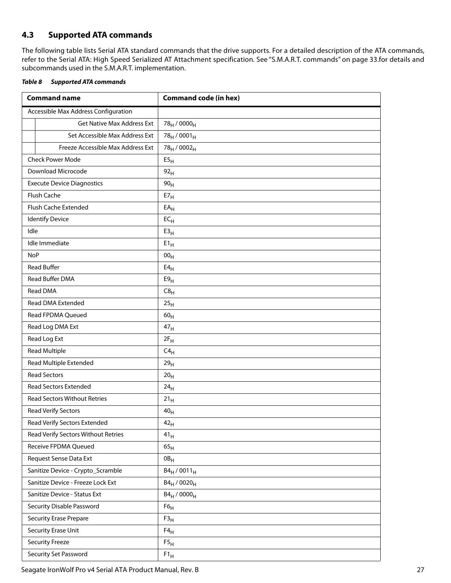# <span id="page-27-0"></span>**4.3 Supported ATA commands**

The following table lists Serial ATA standard commands that the drive supports. For a detailed description of the ATA commands, refer to the Serial ATA: High Speed Serialized AT Attachment specification. [See "S.M.A.R.T. commands" on page 33.f](#page-33-0)or details and subcommands used in the S.M.A.R.T. implementation.

<span id="page-27-1"></span>

| Table 8 | <b>Supported ATA commands</b> |
|---------|-------------------------------|
|         |                               |

| <b>Command name</b>                  | <b>Command code (in hex)</b>        |
|--------------------------------------|-------------------------------------|
| Accessible Max Address Configuration |                                     |
| <b>Get Native Max Address Ext</b>    | 78 <sub>H</sub> / 0000 <sub>H</sub> |
| Set Accessible Max Address Ext       | $78_H / 0001_H$                     |
| Freeze Accessible Max Address Ext    | 78 <sub>H</sub> / 0002 <sub>H</sub> |
| <b>Check Power Mode</b>              | E5 <sub>H</sub>                     |
| Download Microcode                   | 92 <sub>H</sub>                     |
| <b>Execute Device Diagnostics</b>    | 90 <sub>H</sub>                     |
| Flush Cache                          | $E7_H$                              |
| Flush Cache Extended                 | $EA$ <sub>H</sub>                   |
| <b>Identify Device</b>               | $EC_{H}$                            |
| Idle                                 | E3 <sub>H</sub>                     |
| Idle Immediate                       | $E1_H$                              |
| <b>NoP</b>                           | 00 <sub>H</sub>                     |
| <b>Read Buffer</b>                   | E4 <sub>H</sub>                     |
| Read Buffer DMA                      | E9 <sub>H</sub>                     |
| <b>Read DMA</b>                      | C8 <sub>H</sub>                     |
| Read DMA Extended                    | 25 <sub>H</sub>                     |
| Read FPDMA Queued                    | 60 <sub>H</sub>                     |
| Read Log DMA Ext                     | 47 <sub>H</sub>                     |
| Read Log Ext                         | $2F_H$                              |
| <b>Read Multiple</b>                 | $C4_H$                              |
| Read Multiple Extended               | 29 <sub>H</sub>                     |
| <b>Read Sectors</b>                  | 20 <sub>H</sub>                     |
| <b>Read Sectors Extended</b>         | 24 <sub>H</sub>                     |
| <b>Read Sectors Without Retries</b>  | $21_H$                              |
| Read Verify Sectors                  | 40 <sub>H</sub>                     |
| Read Verify Sectors Extended         | 42 <sub>H</sub>                     |
| Read Verify Sectors Without Retries  | 41 <sub>H</sub>                     |
| <b>Receive FPDMA Queued</b>          | 65 <sub>H</sub>                     |
| Request Sense Data Ext               | $0B_H$                              |
| Sanitize Device - Crypto_Scramble    | $B4_H / 0011_H$                     |
| Sanitize Device - Freeze Lock Ext    | $B4_H / 0020_H$                     |
| Sanitize Device - Status Ext         | $B4_H / 0000_H$                     |
| Security Disable Password            | F6 <sub>H</sub>                     |
| <b>Security Erase Prepare</b>        | F3 <sub>H</sub>                     |
| Security Erase Unit                  | $F4_H$                              |
| <b>Security Freeze</b>               | F5 <sub>H</sub>                     |
| Security Set Password                | $F1_H$                              |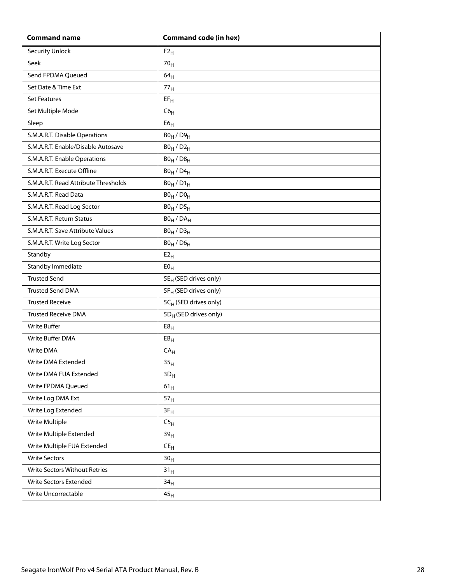| <b>Command name</b>                  | <b>Command code (in hex)</b>      |
|--------------------------------------|-----------------------------------|
| <b>Security Unlock</b>               | $F2_H$                            |
| Seek                                 | 70 <sub>H</sub>                   |
| Send FPDMA Queued                    | 64 <sub>H</sub>                   |
| Set Date & Time Ext                  | 77 <sub>H</sub>                   |
| <b>Set Features</b>                  | $EF_H$                            |
| Set Multiple Mode                    | C6 <sub>H</sub>                   |
| Sleep                                | E6 <sub>H</sub>                   |
| S.M.A.R.T. Disable Operations        | $B0_H / D9_H$                     |
| S.M.A.R.T. Enable/Disable Autosave   | $B0_H/D2_H$                       |
| S.M.A.R.T. Enable Operations         | $B0_H / D8_H$                     |
| S.M.A.R.T. Execute Offline           | $B0_H / D4_H$                     |
| S.M.A.R.T. Read Attribute Thresholds | $B0_H / D1_H$                     |
| S.M.A.R.T. Read Data                 | $B0_H / D0_H$                     |
| S.M.A.R.T. Read Log Sector           | $B0_H / D5_H$                     |
| S.M.A.R.T. Return Status             | $B0_H$ / $DA_H$                   |
| S.M.A.R.T. Save Attribute Values     | $B0_H / D3_H$                     |
| S.M.A.R.T. Write Log Sector          | $B0_H$ / $D6_H$                   |
| Standby                              | E2 <sub>H</sub>                   |
| Standby Immediate                    | E0 <sub>H</sub>                   |
| <b>Trusted Send</b>                  | 5E <sub>H</sub> (SED drives only) |
| <b>Trusted Send DMA</b>              | 5F <sub>H</sub> (SED drives only) |
| <b>Trusted Receive</b>               | 5CH (SED drives only)             |
| <b>Trusted Receive DMA</b>           | 5D <sub>H</sub> (SED drives only) |
| <b>Write Buffer</b>                  | E8 <sub>H</sub>                   |
| Write Buffer DMA                     | EB <sub>H</sub>                   |
| Write DMA                            | $\mathsf{CA}_{\mathsf{H}}$        |
| Write DMA Extended                   | 35 <sub>H</sub>                   |
| Write DMA FUA Extended               | $3D_H$                            |
| Write FPDMA Queued                   | $61_H$                            |
| Write Log DMA Ext                    | 57 <sub>H</sub>                   |
| Write Log Extended                   | $3F_H$                            |
| <b>Write Multiple</b>                | C5 <sub>H</sub>                   |
| Write Multiple Extended              | 39 <sub>H</sub>                   |
| Write Multiple FUA Extended          | $CE_{H}$                          |
| <b>Write Sectors</b>                 | 30 <sub>H</sub>                   |
| Write Sectors Without Retries        | 31 <sub>H</sub>                   |
| Write Sectors Extended               | 34 <sub>H</sub>                   |
| Write Uncorrectable                  | 45 <sub>H</sub>                   |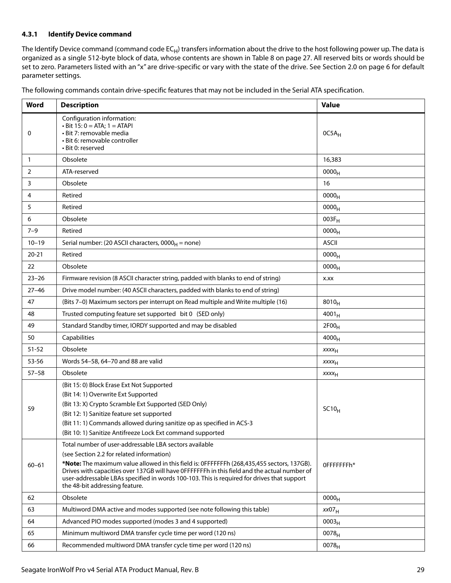#### <span id="page-29-0"></span>**4.3.1 Identify Device command**

The Identify Device command (command code  $EC_H$ ) transfers information about the drive to the host following power up. The data is organized as a single 512-byte block of data, whose contents are shown in [Table 8](#page-27-1) on [page 27.](#page-27-1) All reserved bits or words should be set to zero. Parameters listed with an "x" are drive-specific or vary with the state of the drive. [See Section 2.0 on page 6](#page-6-0) for default parameter settings.

| Word         | <b>Description</b>                                                                                                                                                                                                                                                                                                                                                                                                                | <b>Value</b>      |
|--------------|-----------------------------------------------------------------------------------------------------------------------------------------------------------------------------------------------------------------------------------------------------------------------------------------------------------------------------------------------------------------------------------------------------------------------------------|-------------------|
| 0            | Configuration information:<br>$\cdot$ Bit 15: 0 = ATA; 1 = ATAPI<br>· Bit 7: removable media<br>· Bit 6: removable controller<br>· Bit 0: reserved                                                                                                                                                                                                                                                                                | $0C5A_H$          |
| $\mathbf{1}$ | Obsolete                                                                                                                                                                                                                                                                                                                                                                                                                          | 16,383            |
| 2            | ATA-reserved                                                                                                                                                                                                                                                                                                                                                                                                                      | 0000 <sub>H</sub> |
| 3            | Obsolete                                                                                                                                                                                                                                                                                                                                                                                                                          | 16                |
| 4            | Retired                                                                                                                                                                                                                                                                                                                                                                                                                           | 0000 <sub>H</sub> |
| 5            | Retired                                                                                                                                                                                                                                                                                                                                                                                                                           | 0000 <sub>H</sub> |
| 6            | Obsolete                                                                                                                                                                                                                                                                                                                                                                                                                          | $003F_H$          |
| $7 - 9$      | Retired                                                                                                                                                                                                                                                                                                                                                                                                                           | 0000 <sub>H</sub> |
| $10 - 19$    | Serial number: (20 ASCII characters, $0000_H$ = none)                                                                                                                                                                                                                                                                                                                                                                             | <b>ASCII</b>      |
| $20 - 21$    | Retired                                                                                                                                                                                                                                                                                                                                                                                                                           | 0000 <sub>H</sub> |
| 22           | Obsolete                                                                                                                                                                                                                                                                                                                                                                                                                          | 0000 <sub>H</sub> |
| $23 - 26$    | Firmware revision (8 ASCII character string, padded with blanks to end of string)                                                                                                                                                                                                                                                                                                                                                 | X.XX              |
| $27 - 46$    | Drive model number: (40 ASCII characters, padded with blanks to end of string)                                                                                                                                                                                                                                                                                                                                                    |                   |
| 47           | (Bits 7-0) Maximum sectors per interrupt on Read multiple and Write multiple (16)                                                                                                                                                                                                                                                                                                                                                 | $8010_H$          |
| 48           | Trusted computing feature set supported bit 0 (SED only)                                                                                                                                                                                                                                                                                                                                                                          | $4001_H$          |
| 49           | Standard Standby timer, IORDY supported and may be disabled                                                                                                                                                                                                                                                                                                                                                                       | 2F00 <sub>H</sub> |
| 50           | Capabilities                                                                                                                                                                                                                                                                                                                                                                                                                      | $4000_H$          |
| $51 - 52$    | Obsolete                                                                                                                                                                                                                                                                                                                                                                                                                          | XXXH              |
| 53-56        | Words 54-58, 64-70 and 88 are valid                                                                                                                                                                                                                                                                                                                                                                                               | XXXH              |
| $57 - 58$    | Obsolete                                                                                                                                                                                                                                                                                                                                                                                                                          | XXXH              |
| 59           | (Bit 15: 0) Block Erase Ext Not Supported<br>(Bit 14: 1) Overwrite Ext Supported<br>(Bit 13: X) Crypto Scramble Ext Supported (SED Only)<br>(Bit 12: 1) Sanitize feature set supported<br>(Bit 11: 1) Commands allowed during sanitize op as specified in ACS-3<br>(Bit 10: 1) Sanitize Antifreeze Lock Ext command supported                                                                                                     | SC10 <sub>H</sub> |
| $60 - 61$    | Total number of user-addressable LBA sectors available<br>(see Section 2.2 for related information)<br>*Note: The maximum value allowed in this field is: 0FFFFFFFh (268,435,455 sectors, 137GB).<br>Drives with capacities over 137GB will have OFFFFFFFh in this field and the actual number of<br>user-addressable LBAs specified in words 100-103. This is required for drives that support<br>the 48-bit addressing feature. | OFFFFFFFh*        |
| 62           | Obsolete                                                                                                                                                                                                                                                                                                                                                                                                                          | 0000 <sub>H</sub> |
| 63           | Multiword DMA active and modes supported (see note following this table)                                                                                                                                                                                                                                                                                                                                                          | xx07 <sub>H</sub> |
| 64           | Advanced PIO modes supported (modes 3 and 4 supported)                                                                                                                                                                                                                                                                                                                                                                            | 0003 <sub>H</sub> |
| 65           | Minimum multiword DMA transfer cycle time per word (120 ns)                                                                                                                                                                                                                                                                                                                                                                       | $0078_H$          |
| 66           | Recommended multiword DMA transfer cycle time per word (120 ns)                                                                                                                                                                                                                                                                                                                                                                   | 0078 <sub>H</sub> |

The following commands contain drive-specific features that may not be included in the Serial ATA specification.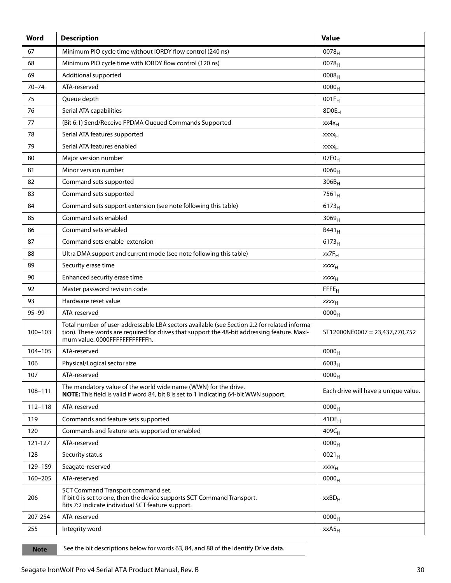| Word        | <b>Description</b>                                                                                                                                                                                                            | <b>Value</b>                         |
|-------------|-------------------------------------------------------------------------------------------------------------------------------------------------------------------------------------------------------------------------------|--------------------------------------|
| 67          | Minimum PIO cycle time without IORDY flow control (240 ns)                                                                                                                                                                    | $0078_H$                             |
| 68          | Minimum PIO cycle time with IORDY flow control (120 ns)                                                                                                                                                                       | $0078_{H}$                           |
| 69          | Additional supported                                                                                                                                                                                                          | $0008_{H}$                           |
| $70 - 74$   | ATA-reserved                                                                                                                                                                                                                  | 0000 <sub>H</sub>                    |
| 75          | Queue depth                                                                                                                                                                                                                   | $001F_H$                             |
| 76          | Serial ATA capabilities                                                                                                                                                                                                       | 8D0E <sub>H</sub>                    |
| 77          | (Bit 6:1) Send/Receive FPDMA Queued Commands Supported                                                                                                                                                                        | $xx4x_H$                             |
| 78          | Serial ATA features supported                                                                                                                                                                                                 | <b>XXXX<sub>H</sub></b>              |
| 79          | Serial ATA features enabled                                                                                                                                                                                                   | <b>XXXX<sub>H</sub></b>              |
| 80          | Major version number                                                                                                                                                                                                          | $07F0_H$                             |
| 81          | Minor version number                                                                                                                                                                                                          | $0060_H$                             |
| 82          | Command sets supported                                                                                                                                                                                                        | $306B_H$                             |
| 83          | Command sets supported                                                                                                                                                                                                        | $7561_H$                             |
| 84          | Command sets support extension (see note following this table)                                                                                                                                                                | 6173 <sub>H</sub>                    |
| 85          | Command sets enabled                                                                                                                                                                                                          | 3069 <sub>H</sub>                    |
| 86          | Command sets enabled                                                                                                                                                                                                          | $B441_H$                             |
| 87          | Command sets enable extension                                                                                                                                                                                                 | $6173_H$                             |
| 88          | Ultra DMA support and current mode (see note following this table)                                                                                                                                                            | $xx7F_H$                             |
| 89          | Security erase time                                                                                                                                                                                                           | XXXH                                 |
| 90          | Enhanced security erase time                                                                                                                                                                                                  | XXXH                                 |
| 92          | Master password revision code                                                                                                                                                                                                 | FFFE <sub>H</sub>                    |
| 93          | Hardware reset value                                                                                                                                                                                                          | XXXH                                 |
| $95 - 99$   | ATA-reserved                                                                                                                                                                                                                  | 0000 <sub>H</sub>                    |
| $100 - 103$ | Total number of user-addressable LBA sectors available (see Section 2.2 for related informa-<br>tion). These words are required for drives that support the 48-bit addressing feature. Maxi-<br>mum value: 0000FFFFFFFFFFFFh. | ST12000NE0007 = 23,437,770,752       |
| 104-105     | ATA-reserved                                                                                                                                                                                                                  | 0000 <sub>H</sub>                    |
| 106         | Physical/Logical sector size                                                                                                                                                                                                  | $6003_H$                             |
| 107         | ATA-reserved                                                                                                                                                                                                                  | 0000 <sub>H</sub>                    |
| 108-111     | The mandatory value of the world wide name (WWN) for the drive.<br><b>NOTE:</b> This field is valid if word 84, bit 8 is set to 1 indicating 64-bit WWN support.                                                              | Each drive will have a unique value. |
| $112 - 118$ | ATA-reserved                                                                                                                                                                                                                  | 0000 <sub>H</sub>                    |
| 119         | Commands and feature sets supported                                                                                                                                                                                           | $41DE_H$                             |
| 120         | Commands and feature sets supported or enabled                                                                                                                                                                                | 409C <sub>H</sub>                    |
| 121-127     | ATA-reserved                                                                                                                                                                                                                  | 0000 <sub>H</sub>                    |
| 128         | Security status                                                                                                                                                                                                               | $0021_H$                             |
| 129-159     | Seagate-reserved                                                                                                                                                                                                              | XXXH                                 |
| $160 - 205$ | ATA-reserved                                                                                                                                                                                                                  | 0000 <sub>H</sub>                    |
| 206         | SCT Command Transport command set.<br>If bit 0 is set to one, then the device supports SCT Command Transport.<br>Bits 7:2 indicate individual SCT feature support.                                                            | $xxBD_H$                             |
| 207-254     | ATA-reserved                                                                                                                                                                                                                  | $0000_H$                             |
| 255         | Integrity word                                                                                                                                                                                                                | xxA5 <sub>H</sub>                    |

Note See the bit descriptions below for words 63, 84, and 88 of the Identify Drive data.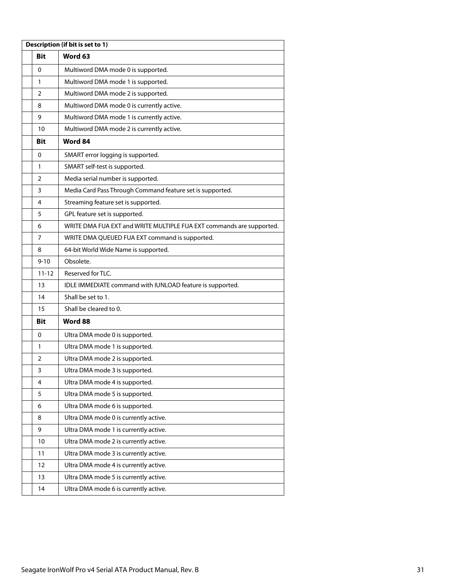| Description (if bit is set to 1) |            |                                                                      |  |  |
|----------------------------------|------------|----------------------------------------------------------------------|--|--|
|                                  | Bit        | Word 63                                                              |  |  |
|                                  | 0          | Multiword DMA mode 0 is supported.                                   |  |  |
|                                  | 1          | Multiword DMA mode 1 is supported.                                   |  |  |
|                                  | 2          | Multiword DMA mode 2 is supported.                                   |  |  |
|                                  | 8          | Multiword DMA mode 0 is currently active.                            |  |  |
|                                  | 9          | Multiword DMA mode 1 is currently active.                            |  |  |
|                                  | 10         | Multiword DMA mode 2 is currently active.                            |  |  |
|                                  | <b>Bit</b> | Word 84                                                              |  |  |
|                                  | 0          | SMART error logging is supported.                                    |  |  |
|                                  | 1          | SMART self-test is supported.                                        |  |  |
|                                  | 2          | Media serial number is supported.                                    |  |  |
|                                  | 3          | Media Card Pass Through Command feature set is supported.            |  |  |
|                                  | 4          | Streaming feature set is supported.                                  |  |  |
|                                  | 5          | GPL feature set is supported.                                        |  |  |
|                                  | 6          | WRITE DMA FUA EXT and WRITE MULTIPLE FUA EXT commands are supported. |  |  |
|                                  | 7          | WRITE DMA QUEUED FUA EXT command is supported.                       |  |  |
|                                  | 8          | 64-bit World Wide Name is supported.                                 |  |  |
|                                  | $9 - 10$   | Obsolete.                                                            |  |  |
|                                  | $11 - 12$  | Reserved for TLC.                                                    |  |  |
|                                  | 13         | IDLE IMMEDIATE command with IUNLOAD feature is supported.            |  |  |
|                                  | 14         | Shall be set to 1.                                                   |  |  |
|                                  | 15         | Shall be cleared to 0.                                               |  |  |
|                                  | <b>Bit</b> | Word 88                                                              |  |  |
|                                  | 0          | Ultra DMA mode 0 is supported.                                       |  |  |
|                                  | 1          | Ultra DMA mode 1 is supported.                                       |  |  |
|                                  | 2          | Ultra DMA mode 2 is supported.                                       |  |  |
|                                  | 3          | Ultra DMA mode 3 is supported.                                       |  |  |
|                                  | 4          | Ultra DMA mode 4 is supported.                                       |  |  |
|                                  | 5          | Ultra DMA mode 5 is supported.                                       |  |  |
|                                  | 6          | Ultra DMA mode 6 is supported.                                       |  |  |
|                                  | 8          | Ultra DMA mode 0 is currently active.                                |  |  |
|                                  | 9          | Ultra DMA mode 1 is currently active.                                |  |  |
|                                  | 10         | Ultra DMA mode 2 is currently active.                                |  |  |
|                                  | 11         | Ultra DMA mode 3 is currently active.                                |  |  |
|                                  | 12         | Ultra DMA mode 4 is currently active.                                |  |  |
|                                  | 13         | Ultra DMA mode 5 is currently active.                                |  |  |
|                                  | 14         | Ultra DMA mode 6 is currently active.                                |  |  |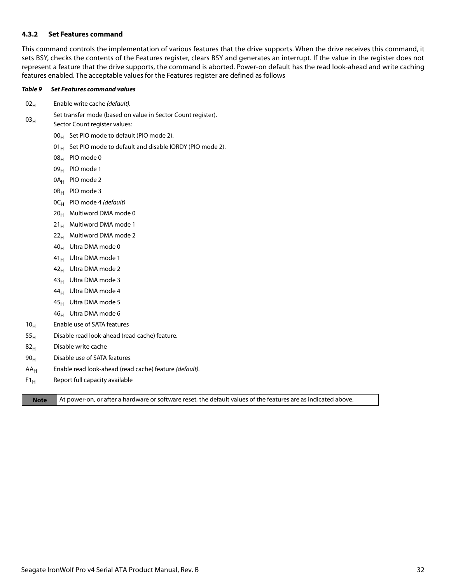#### <span id="page-32-0"></span>**4.3.2 Set Features command**

This command controls the implementation of various features that the drive supports. When the drive receives this command, it sets BSY, checks the contents of the Features register, clears BSY and generates an interrupt. If the value in the register does not represent a feature that the drive supports, the command is aborted. Power-on default has the read look-ahead and write caching features enabled. The acceptable values for the Features register are defined as follows

#### *Table 9 Set Features command values*

- $02_H$  Enable write cache (default).
- $03<sub>H</sub>$ Set transfer mode (based on value in Sector Count register).
- Sector Count register values:
	- $00_H$  Set PIO mode to default (PIO mode 2).
	- 01 $_{\rm H}$  Set PIO mode to default and disable IORDY (PIO mode 2).
	- 08H PIO mode 0
	- 09<sub>H</sub> PIO mode 1
	- 0A<sub>H</sub> PIO mode 2
	- 0B<sub>H</sub> PIO mode 3
	- $OC_H$  PIO mode 4 (default)
	- $20_H$  Multiword DMA mode 0
	- $21_H$  Multiword DMA mode 1
	- 22<sub>H</sub> Multiword DMA mode 2
	- 40H Ultra DMA mode 0
	- $41_H$  Ultra DMA mode 1
	- 42<sub>H</sub> Ultra DMA mode 2
	- 43<sub>H</sub> Ultra DMA mode 3
	- 44<sub>H</sub> Ultra DMA mode 4
	- $45<sub>H</sub>$  Ultra DMA mode 5
	- $46_H$  Ultra DMA mode 6
- 10<sub>H</sub> Enable use of SATA features
- $55<sub>H</sub>$  Disable read look-ahead (read cache) feature.
- 82<sub>H</sub> Disable write cache
- $90<sub>H</sub>$  Disable use of SATA features
- $AA_H$  Enable read look-ahead (read cache) feature (*default*).
- $F1_H$  Report full capacity available

**Note** At power-on, or after a hardware or software reset, the default values of the features are as indicated above.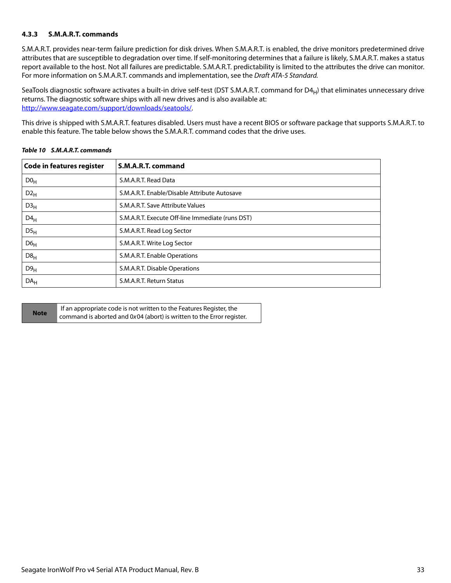## <span id="page-33-0"></span>**4.3.3 S.M.A.R.T. commands**

S.M.A.R.T. provides near-term failure prediction for disk drives. When S.M.A.R.T. is enabled, the drive monitors predetermined drive attributes that are susceptible to degradation over time. If self-monitoring determines that a failure is likely, S.M.A.R.T. makes a status report available to the host. Not all failures are predictable. S.M.A.R.T. predictability is limited to the attributes the drive can monitor. For more information on S.M.A.R.T. commands and implementation, see the Draft ATA-5 Standard.

SeaTools diagnostic software activates a built-in drive self-test (DST S.M.A.R.T. command for  $D4_H$ ) that eliminates unnecessary drive returns. The diagnostic software ships with all new drives and is also available at: [http://www.seagate.com/support/downloads/seatools/](http://www.seagate.com/support/downloads/seatools/ ).

This drive is shipped with S.M.A.R.T. features disabled. Users must have a recent BIOS or software package that supports S.M.A.R.T. to enable this feature. The table below shows the S.M.A.R.T. command codes that the drive uses.

| <b>Code in features register</b> | S.M.A.R.T. command                               |
|----------------------------------|--------------------------------------------------|
| D0 <sub>H</sub>                  | S.M.A.R.T. Read Data                             |
| $D2_H$                           | S.M.A.R.T. Enable/Disable Attribute Autosave     |
| D3 <sub>H</sub>                  | S.M.A.R.T. Save Attribute Values                 |
| $D4_H$                           | S.M.A.R.T. Execute Off-line Immediate (runs DST) |
| $DS_{H}$                         | S.M.A.R.T. Read Log Sector                       |
| D6 <sub>H</sub>                  | S.M.A.R.T. Write Log Sector                      |
| D8 <sub>H</sub>                  | S.M.A.R.T. Enable Operations                     |
| D9 <sub>H</sub>                  | S.M.A.R.T. Disable Operations                    |
| DA <sub>H</sub>                  | S.M.A.R.T. Return Status                         |

### *Table 10 S.M.A.R.T. commands*

|             | If an appropriate code is not written to the Features Register, the   |
|-------------|-----------------------------------------------------------------------|
| <b>Note</b> | command is aborted and 0x04 (abort) is written to the Error register. |